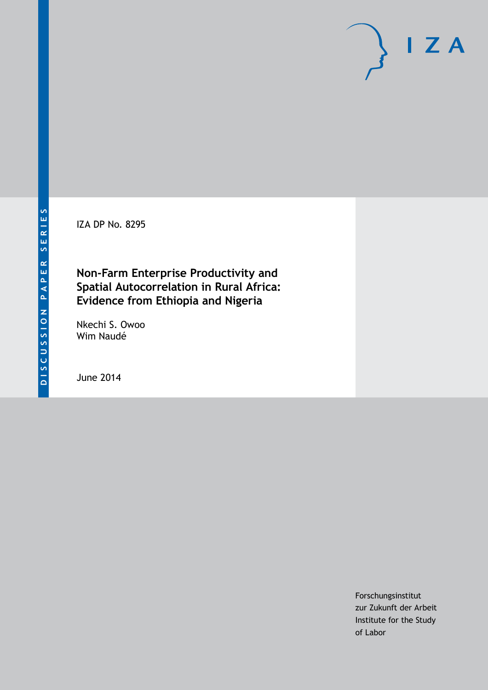IZA DP No. 8295

# **Non-Farm Enterprise Productivity and Spatial Autocorrelation in Rural Africa: Evidence from Ethiopia and Nigeria**

Nkechi S. Owoo Wim Naudé

June 2014

Forschungsinstitut zur Zukunft der Arbeit Institute for the Study of Labor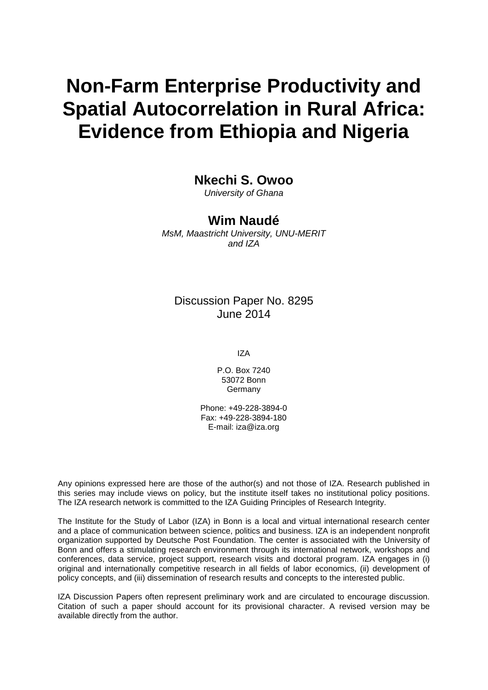# **Non-Farm Enterprise Productivity and Spatial Autocorrelation in Rural Africa: Evidence from Ethiopia and Nigeria**

**Nkechi S. Owoo**

*University of Ghana*

### **Wim Naudé**

*MsM, Maastricht University, UNU-MERIT and IZA*

### Discussion Paper No. 8295 June 2014

IZA

P.O. Box 7240 53072 Bonn **Germany** 

Phone: +49-228-3894-0 Fax: +49-228-3894-180 E-mail: [iza@iza.org](mailto:iza@iza.org)

Any opinions expressed here are those of the author(s) and not those of IZA. Research published in this series may include views on policy, but the institute itself takes no institutional policy positions. The IZA research network is committed to the IZA Guiding Principles of Research Integrity.

The Institute for the Study of Labor (IZA) in Bonn is a local and virtual international research center and a place of communication between science, politics and business. IZA is an independent nonprofit organization supported by Deutsche Post Foundation. The center is associated with the University of Bonn and offers a stimulating research environment through its international network, workshops and conferences, data service, project support, research visits and doctoral program. IZA engages in (i) original and internationally competitive research in all fields of labor economics, (ii) development of policy concepts, and (iii) dissemination of research results and concepts to the interested public.

IZA Discussion Papers often represent preliminary work and are circulated to encourage discussion. Citation of such a paper should account for its provisional character. A revised version may be available directly from the author.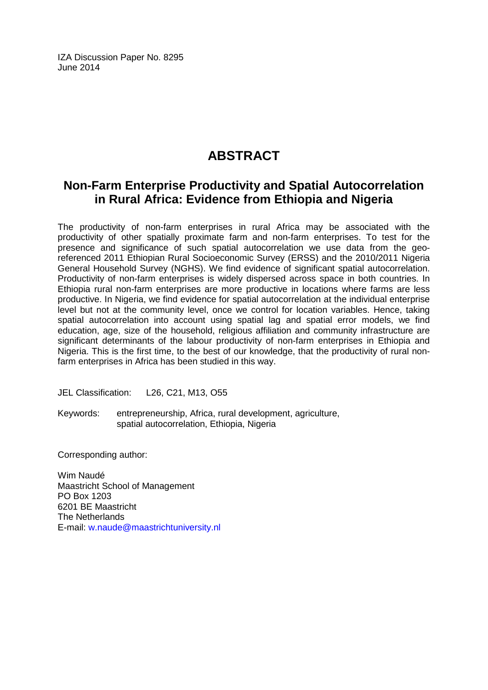IZA Discussion Paper No. 8295 June 2014

# **ABSTRACT**

## **Non-Farm Enterprise Productivity and Spatial Autocorrelation in Rural Africa: Evidence from Ethiopia and Nigeria**

The productivity of non-farm enterprises in rural Africa may be associated with the productivity of other spatially proximate farm and non-farm enterprises. To test for the presence and significance of such spatial autocorrelation we use data from the georeferenced 2011 Ethiopian Rural Socioeconomic Survey (ERSS) and the 2010/2011 Nigeria General Household Survey (NGHS). We find evidence of significant spatial autocorrelation. Productivity of non-farm enterprises is widely dispersed across space in both countries. In Ethiopia rural non-farm enterprises are more productive in locations where farms are less productive. In Nigeria, we find evidence for spatial autocorrelation at the individual enterprise level but not at the community level, once we control for location variables. Hence, taking spatial autocorrelation into account using spatial lag and spatial error models, we find education, age, size of the household, religious affiliation and community infrastructure are significant determinants of the labour productivity of non-farm enterprises in Ethiopia and Nigeria. This is the first time, to the best of our knowledge, that the productivity of rural nonfarm enterprises in Africa has been studied in this way.

JEL Classification: L26, C21, M13, O55

Keywords: entrepreneurship, Africa, rural development, agriculture, spatial autocorrelation, Ethiopia, Nigeria

Corresponding author:

Wim Naudé Maastricht School of Management PO Box 1203 6201 BE Maastricht The Netherlands E-mail: [w.naude@maastrichtuniversity.nl](mailto:w.naude@maastrichtuniversity.nl)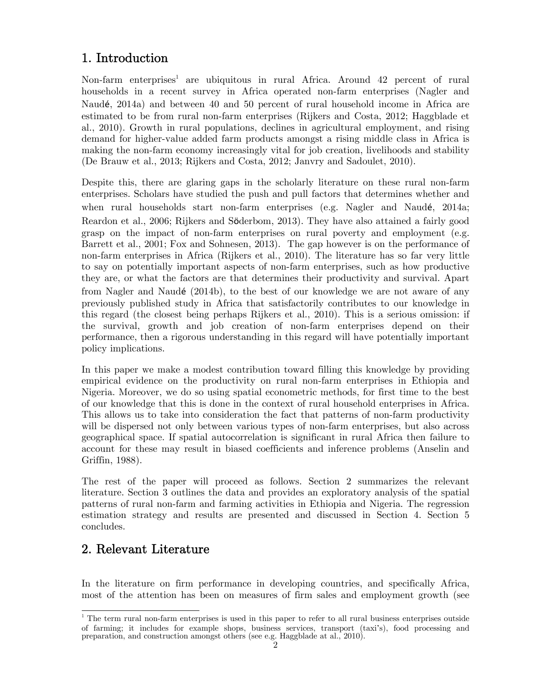# 1. Introduction

Non-farm enterprises<sup>1</sup> are ubiquitous in rural Africa. Around 42 percent of rural households in a recent survey in Africa operated non-farm enterprises (Nagler and Naudé, 2014a) and between 40 and 50 percent of rural household income in Africa are estimated to be from rural non-farm enterprises (Rijkers and Costa, 2012; Haggblade et al., 2010). Growth in rural populations, declines in agricultural employment, and rising demand for higher-value added farm products amongst a rising middle class in Africa is making the non-farm economy increasingly vital for job creation, livelihoods and stability (De Brauw et al., 2013; Rijkers and Costa, 2012; Janvry and Sadoulet, 2010).

Despite this, there are glaring gaps in the scholarly literature on these rural non-farm enterprises. Scholars have studied the push and pull factors that determines whether and when rural households start non-farm enterprises (e.g. Nagler and Naudé, 2014a; Reardon et al., 2006; Rijkers and Söderbom, 2013). They have also attained a fairly good grasp on the impact of non-farm enterprises on rural poverty and employment (e.g. Barrett et al., 2001; Fox and Sohnesen, 2013). The gap however is on the performance of non-farm enterprises in Africa (Rijkers et al., 2010). The literature has so far very little to say on potentially important aspects of non-farm enterprises, such as how productive they are, or what the factors are that determines their productivity and survival. Apart from Nagler and Naudé (2014b), to the best of our knowledge we are not aware of any previously published study in Africa that satisfactorily contributes to our knowledge in this regard (the closest being perhaps Rijkers et al., 2010). This is a serious omission: if the survival, growth and job creation of non-farm enterprises depend on their performance, then a rigorous understanding in this regard will have potentially important policy implications.

In this paper we make a modest contribution toward filling this knowledge by providing empirical evidence on the productivity on rural non-farm enterprises in Ethiopia and Nigeria. Moreover, we do so using spatial econometric methods, for first time to the best of our knowledge that this is done in the context of rural household enterprises in Africa. This allows us to take into consideration the fact that patterns of non-farm productivity will be dispersed not only between various types of non-farm enterprises, but also across geographical space. If spatial autocorrelation is significant in rural Africa then failure to account for these may result in biased coefficients and inference problems (Anselin and Griffin, 1988).

The rest of the paper will proceed as follows. Section 2 summarizes the relevant literature. Section 3 outlines the data and provides an exploratory analysis of the spatial patterns of rural non-farm and farming activities in Ethiopia and Nigeria. The regression estimation strategy and results are presented and discussed in Section 4. Section 5 concludes.

# 2. Relevant Literature

In the literature on firm performance in developing countries, and specifically Africa, most of the attention has been on measures of firm sales and employment growth (see

preparation, and construction amongst others (see e.g. Haggblade at al., 2010). <sup>1</sup> The term rural non-farm enterprises is used in this paper to refer to all rural business enterprises outside of farming; it includes for example shops, business services, transport (taxi's), food processing and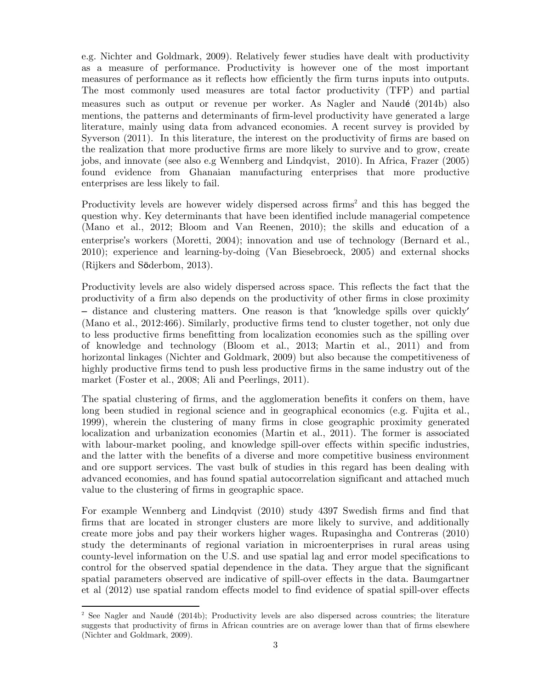e.g. Nichter and Goldmark, 2009). Relatively fewer studies have dealt with productivity as a measure of performance. Productivity is however one of the most important measures of performance as it reflects how efficiently the firm turns inputs into outputs. The most commonly used measures are total factor productivity (TFP) and partial measures such as output or revenue per worker. As Nagler and Naudé (2014b) also mentions, the patterns and determinants of firm-level productivity have generated a large literature, mainly using data from advanced economies. A recent survey is provided by Syverson (2011). In this literature, the interest on the productivity of firms are based on the realization that more productive firms are more likely to survive and to grow, create jobs, and innovate (see also e.g Wennberg and Lindqvist, 2010). In Africa, Frazer (2005) found evidence from Ghanaian manufacturing enterprises that more productive enterprises are less likely to fail.

Productivity levels are however widely dispersed across firms<sup>2</sup> and this has begged the question why. Key determinants that have been identified include managerial competence (Mano et al., 2012; Bloom and Van Reenen, 2010); the skills and education of a enterprise's workers (Moretti, 2004); innovation and use of technology (Bernard et al., 2010); experience and learning-by-doing (Van Biesebroeck, 2005) and external shocks (Rijkers and Söderbom, 2013).

Productivity levels are also widely dispersed across space. This reflects the fact that the productivity of a firm also depends on the productivity of other firms in close proximity – distance and clustering matters. One reason is that 'knowledge spills over quickly' (Mano et al., 2012:466). Similarly, productive firms tend to cluster together, not only due to less productive firms benefitting from localization economies such as the spilling over of knowledge and technology (Bloom et al., 2013; Martin et al., 2011) and from horizontal linkages (Nichter and Goldmark, 2009) but also because the competitiveness of highly productive firms tend to push less productive firms in the same industry out of the market (Foster et al., 2008; Ali and Peerlings, 2011).

The spatial clustering of firms, and the agglomeration benefits it confers on them, have long been studied in regional science and in geographical economics (e.g. Fujita et al., 1999), wherein the clustering of many firms in close geographic proximity generated localization and urbanization economies (Martin et al., 2011). The former is associated with labour-market pooling, and knowledge spill-over effects within specific industries, and the latter with the benefits of a diverse and more competitive business environment and ore support services. The vast bulk of studies in this regard has been dealing with advanced economies, and has found spatial autocorrelation significant and attached much value to the clustering of firms in geographic space.

For example Wennberg and Lindqvist (2010) study 4397 Swedish firms and find that firms that are located in stronger clusters are more likely to survive, and additionally create more jobs and pay their workers higher wages. Rupasingha and Contreras (2010) study the determinants of regional variation in microenterprises in rural areas using county-level information on the U.S. and use spatial lag and error model specifications to control for the observed spatial dependence in the data. They argue that the significant spatial parameters observed are indicative of spill-over effects in the data. Baumgartner et al (2012) use spatial random effects model to find evidence of spatial spill-over effects

<sup>&</sup>lt;sup>2</sup> See Nagler and Naudé (2014b); Productivity levels are also dispersed across countries; the literature suggests that productivity of firms in African countries are on average lower than that of firms elsewhere (Nichter and Goldmark, 2009).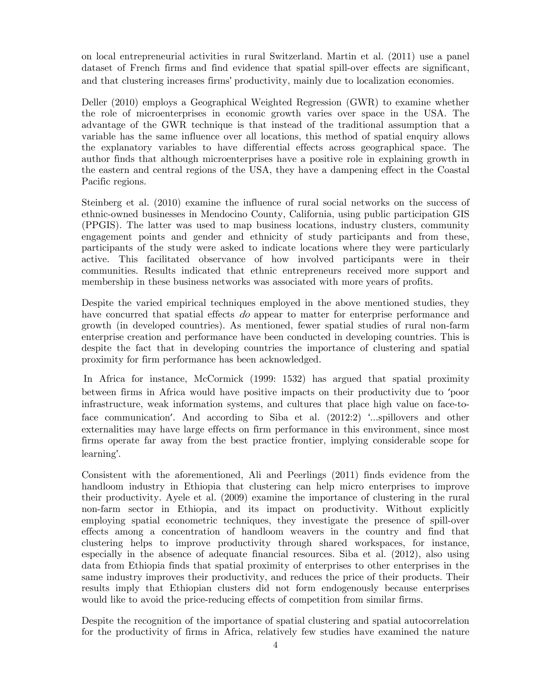on local entrepreneurial activities in rural Switzerland. Martin et al. (2011) use a panel dataset of French firms and find evidence that spatial spill-over effects are significant, and that clustering increases firms' productivity, mainly due to localization economies.

Deller (2010) employs a Geographical Weighted Regression (GWR) to examine whether the role of microenterprises in economic growth varies over space in the USA. The advantage of the GWR technique is that instead of the traditional assumption that a variable has the same influence over all locations, this method of spatial enquiry allows the explanatory variables to have differential effects across geographical space. The author finds that although microenterprises have a positive role in explaining growth in the eastern and central regions of the USA, they have a dampening effect in the Coastal Pacific regions.

Steinberg et al. (2010) examine the influence of rural social networks on the success of ethnic-owned businesses in Mendocino County, California, using public participation GIS (PPGIS). The latter was used to map business locations, industry clusters, community engagement points and gender and ethnicity of study participants and from these, participants of the study were asked to indicate locations where they were particularly active. This facilitated observance of how involved participants were in their communities. Results indicated that ethnic entrepreneurs received more support and membership in these business networks was associated with more years of profits.

Despite the varied empirical techniques employed in the above mentioned studies, they have concurred that spatial effects do appear to matter for enterprise performance and growth (in developed countries). As mentioned, fewer spatial studies of rural non-farm enterprise creation and performance have been conducted in developing countries. This is despite the fact that in developing countries the importance of clustering and spatial proximity for firm performance has been acknowledged.

In Africa for instance, McCormick (1999: 1532) has argued that spatial proximity between firms in Africa would have positive impacts on their productivity due to 'poor infrastructure, weak information systems, and cultures that place high value on face-toface communication'. And according to Siba et al. (2012:2) '...spillovers and other externalities may have large effects on firm performance in this environment, since most firms operate far away from the best practice frontier, implying considerable scope for learning'.

Consistent with the aforementioned, Ali and Peerlings (2011) finds evidence from the handloom industry in Ethiopia that clustering can help micro enterprises to improve their productivity. Ayele et al. (2009) examine the importance of clustering in the rural non-farm sector in Ethiopia, and its impact on productivity. Without explicitly employing spatial econometric techniques, they investigate the presence of spill-over effects among a concentration of handloom weavers in the country and find that clustering helps to improve productivity through shared workspaces, for instance, especially in the absence of adequate financial resources. Siba et al. (2012), also using data from Ethiopia finds that spatial proximity of enterprises to other enterprises in the same industry improves their productivity, and reduces the price of their products. Their results imply that Ethiopian clusters did not form endogenously because enterprises would like to avoid the price-reducing effects of competition from similar firms.

Despite the recognition of the importance of spatial clustering and spatial autocorrelation for the productivity of firms in Africa, relatively few studies have examined the nature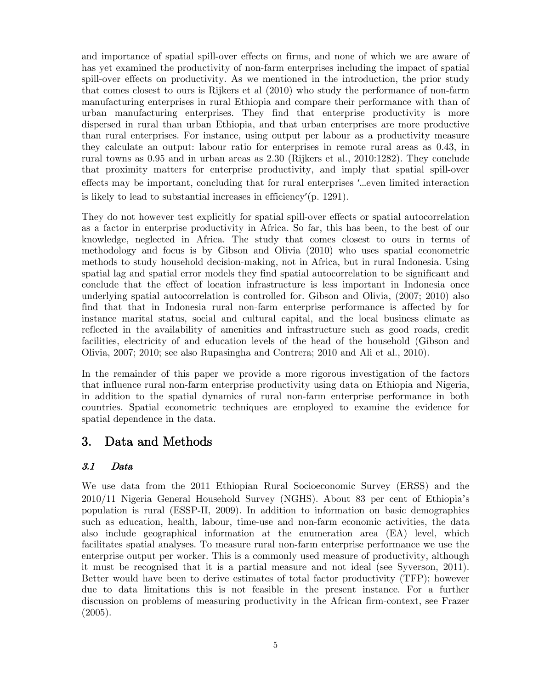and importance of spatial spill-over effects on firms, and none of which we are aware of has yet examined the productivity of non-farm enterprises including the impact of spatial spill-over effects on productivity. As we mentioned in the introduction, the prior study that comes closest to ours is Rijkers et al (2010) who study the performance of non-farm manufacturing enterprises in rural Ethiopia and compare their performance with than of urban manufacturing enterprises. They find that enterprise productivity is more dispersed in rural than urban Ethiopia, and that urban enterprises are more productive than rural enterprises. For instance, using output per labour as a productivity measure they calculate an output: labour ratio for enterprises in remote rural areas as 0.43, in rural towns as 0.95 and in urban areas as 2.30 (Rijkers et al., 2010:1282). They conclude that proximity matters for enterprise productivity, and imply that spatial spill-over effects may be important, concluding that for rural enterprises '…even limited interaction is likely to lead to substantial increases in efficiency'(p. 1291).

They do not however test explicitly for spatial spill-over effects or spatial autocorrelation as a factor in enterprise productivity in Africa. So far, this has been, to the best of our knowledge, neglected in Africa. The study that comes closest to ours in terms of methodology and focus is by Gibson and Olivia (2010) who uses spatial econometric methods to study household decision-making, not in Africa, but in rural Indonesia. Using spatial lag and spatial error models they find spatial autocorrelation to be significant and conclude that the effect of location infrastructure is less important in Indonesia once underlying spatial autocorrelation is controlled for. Gibson and Olivia, (2007; 2010) also find that that in Indonesia rural non-farm enterprise performance is affected by for instance marital status, social and cultural capital, and the local business climate as reflected in the availability of amenities and infrastructure such as good roads, credit facilities, electricity of and education levels of the head of the household (Gibson and Olivia, 2007; 2010; see also Rupasingha and Contrera; 2010 and Ali et al., 2010).

In the remainder of this paper we provide a more rigorous investigation of the factors that influence rural non-farm enterprise productivity using data on Ethiopia and Nigeria, in addition to the spatial dynamics of rural non-farm enterprise performance in both countries. Spatial econometric techniques are employed to examine the evidence for spatial dependence in the data.

### 3. Data and Methods

### 3.1 Data

We use data from the 2011 Ethiopian Rural Socioeconomic Survey (ERSS) and the 2010/11 Nigeria General Household Survey (NGHS). About 83 per cent of Ethiopia's population is rural (ESSP-II, 2009). In addition to information on basic demographics such as education, health, labour, time-use and non-farm economic activities, the data also include geographical information at the enumeration area (EA) level, which facilitates spatial analyses. To measure rural non-farm enterprise performance we use the enterprise output per worker. This is a commonly used measure of productivity, although it must be recognised that it is a partial measure and not ideal (see Syverson, 2011). Better would have been to derive estimates of total factor productivity (TFP); however due to data limitations this is not feasible in the present instance. For a further discussion on problems of measuring productivity in the African firm-context, see Frazer (2005).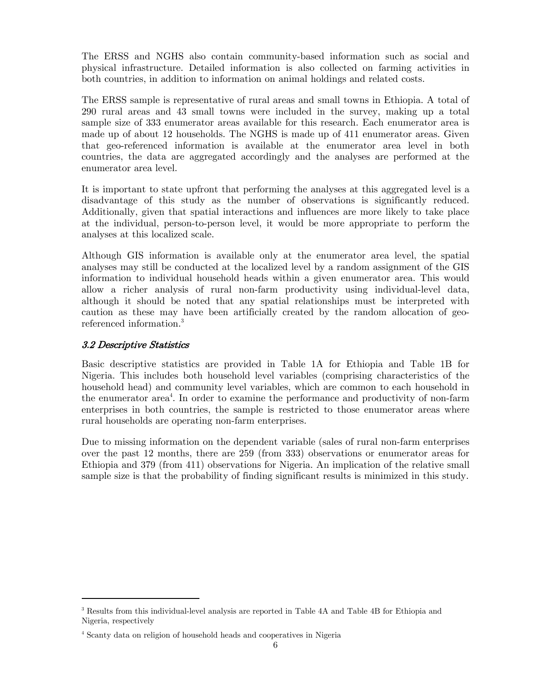The ERSS and NGHS also contain community-based information such as social and physical infrastructure. Detailed information is also collected on farming activities in both countries, in addition to information on animal holdings and related costs.

The ERSS sample is representative of rural areas and small towns in Ethiopia. A total of 290 rural areas and 43 small towns were included in the survey, making up a total sample size of 333 enumerator areas available for this research. Each enumerator area is made up of about 12 households. The NGHS is made up of 411 enumerator areas. Given that geo-referenced information is available at the enumerator area level in both countries, the data are aggregated accordingly and the analyses are performed at the enumerator area level.

It is important to state upfront that performing the analyses at this aggregated level is a disadvantage of this study as the number of observations is significantly reduced. Additionally, given that spatial interactions and influences are more likely to take place at the individual, person-to-person level, it would be more appropriate to perform the analyses at this localized scale.

Although GIS information is available only at the enumerator area level, the spatial analyses may still be conducted at the localized level by a random assignment of the GIS information to individual household heads within a given enumerator area. This would allow a richer analysis of rural non-farm productivity using individual-level data, although it should be noted that any spatial relationships must be interpreted with caution as these may have been artificially created by the random allocation of georeferenced information.<sup>3</sup>

#### 3.2 Descriptive Statistics

Basic descriptive statistics are provided in Table 1A for Ethiopia and Table 1B for Nigeria. This includes both household level variables (comprising characteristics of the household head) and community level variables, which are common to each household in the enumerator area<sup>4</sup>. In order to examine the performance and productivity of non-farm enterprises in both countries, the sample is restricted to those enumerator areas where rural households are operating non-farm enterprises.

Due to missing information on the dependent variable (sales of rural non-farm enterprises over the past 12 months, there are 259 (from 333) observations or enumerator areas for Ethiopia and 379 (from 411) observations for Nigeria. An implication of the relative small sample size is that the probability of finding significant results is minimized in this study.

<sup>&</sup>lt;sup>3</sup> Results from this individual-level analysis are reported in Table 4A and Table 4B for Ethiopia and Nigeria, respectively

<sup>4</sup> Scanty data on religion of household heads and cooperatives in Nigeria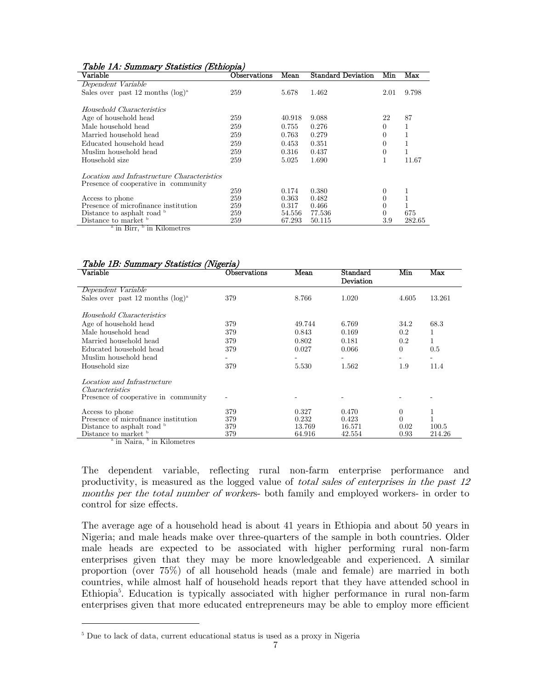| тари 111. ранный у реасность (Денорга)            |                    |        |                           |          |        |  |
|---------------------------------------------------|--------------------|--------|---------------------------|----------|--------|--|
| $\rm Variable$                                    | $\rm Observations$ | Mean   | <b>Standard Deviation</b> | Min      | Max    |  |
| Dependent Variable                                |                    |        |                           |          |        |  |
| Sales over past 12 months $(\log)^a$              | 259                | 5.678  | 1.462                     | 2.01     | 9.798  |  |
|                                                   |                    |        |                           |          |        |  |
| Household Characteristics                         |                    |        |                           |          |        |  |
| Age of household head                             | 259                | 40.918 | 9.088                     | 22       | 87     |  |
| Male household head                               | 259                | 0.755  | 0.276                     | $\Omega$ | 1      |  |
| Married household head                            | 259                | 0.763  | 0.279                     | 0        | 1      |  |
| Educated household head                           | 259                | 0.453  | 0.351                     | $\Omega$ |        |  |
| Muslim household head                             | 259                | 0.316  | 0.437                     | 0        |        |  |
| Household size                                    | 259                | 5.025  | 1.690                     | 1        | 11.67  |  |
|                                                   |                    |        |                           |          |        |  |
| Location and Infrastructure Characteristics       |                    |        |                           |          |        |  |
| Presence of cooperative in community              |                    |        |                           |          |        |  |
|                                                   | 259                | 0.174  | 0.380                     | $\theta$ |        |  |
| Access to phone                                   | 259                | 0.363  | 0.482                     | 0        | T      |  |
| Presence of microfinance institution              | 259                | 0.317  | 0.466                     | 0        |        |  |
| Distance to asphalt road b                        | 259                | 54.556 | 77.536                    | 0        | 675    |  |
| Distance to market b                              | 259                | 67.293 | 50.115                    | 3.9      | 282.65 |  |
| $\frac{1}{2}$ in Ring $\frac{1}{2}$ in Kilomotroe |                    |        |                           |          |        |  |

#### Table 1A: Summary Statistics (Ethiopia)

in Birr, <sup>b</sup> in Kilometres

#### Table 1B: Summary Statistics (Nigeria)

| ິ<br>$\rm Variable$                                                           | <b>Observations</b> | Mean   | Standard<br>Deviation | Min      | Max    |
|-------------------------------------------------------------------------------|---------------------|--------|-----------------------|----------|--------|
| Dependent Variable                                                            |                     |        |                       |          |        |
| Sales over past 12 months $(\log)^a$                                          | 379                 | 8.766  | 1.020                 | 4.605    | 13.261 |
| Household Characteristics                                                     |                     |        |                       |          |        |
| Age of household head                                                         | 379                 | 49.744 | 6.769                 | 34.2     | 68.3   |
| Male household head                                                           | 379                 | 0.843  | 0.169                 | 0.2      | 1      |
| Married household head                                                        | 379                 | 0.802  | 0.181                 | 0.2      | 1      |
| Educated household head                                                       | 379                 | 0.027  | 0.066                 | $\theta$ | 0.5    |
| Muslim household head                                                         |                     |        |                       |          |        |
| Household size                                                                | 379                 | 5.530  | 1.562                 | 1.9      | 11.4   |
| Location and Infrastructure<br><i>Characteristics</i>                         |                     |        |                       |          |        |
| Presence of cooperative in community                                          |                     |        |                       |          |        |
| Access to phone                                                               | 379                 | 0.327  | 0.470                 | $\theta$ | 1      |
| Presence of microfinance institution                                          | 379                 | 0.232  | 0.423                 | 0        |        |
| Distance to asphalt road $\frac{b}{b}$                                        | 379                 | 13.769 | 16.571                | 0.02     | 100.5  |
| Distance to market <sup>b</sup><br>$\lambda$ in Noire $\lambda$ in Kilometree | 379                 | 64.916 | 42.554                | 0.93     | 214.26 |

in Naira, <sup>b</sup> in Kilometres

The dependent variable, reflecting rural non-farm enterprise performance and productivity, is measured as the logged value of *total sales of enterprises in the past 12* months per the total number of workers- both family and employed workers- in order to control for size effects.

The average age of a household head is about 41 years in Ethiopia and about 50 years in Nigeria; and male heads make over three-quarters of the sample in both countries. Older male heads are expected to be associated with higher performing rural non-farm enterprises given that they may be more knowledgeable and experienced. A similar proportion (over 75%) of all household heads (male and female) are married in both countries, while almost half of household heads report that they have attended school in Ethiopia<sup>5</sup>. Education is typically associated with higher performance in rural non-farm enterprises given that more educated entrepreneurs may be able to employ more efficient

<sup>&</sup>lt;sup>5</sup> Due to lack of data, current educational status is used as a proxy in Nigeria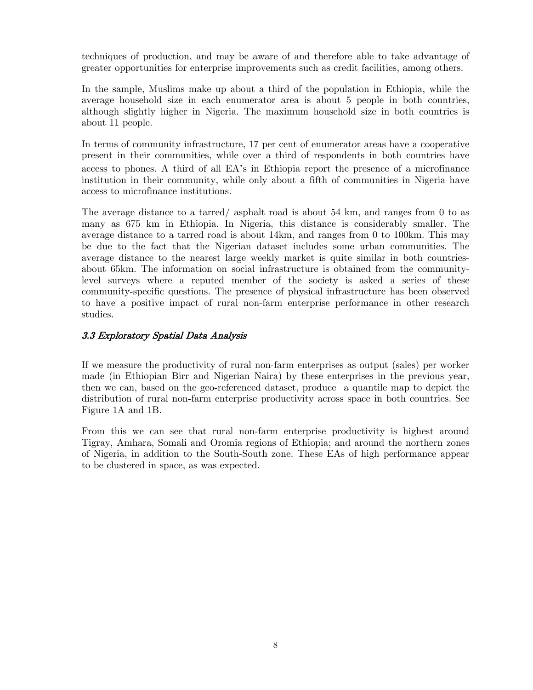techniques of production, and may be aware of and therefore able to take advantage of greater opportunities for enterprise improvements such as credit facilities, among others.

In the sample, Muslims make up about a third of the population in Ethiopia, while the average household size in each enumerator area is about 5 people in both countries, although slightly higher in Nigeria. The maximum household size in both countries is about 11 people.

In terms of community infrastructure, 17 per cent of enumerator areas have a cooperative present in their communities, while over a third of respondents in both countries have access to phones. A third of all EA's in Ethiopia report the presence of a microfinance institution in their community, while only about a fifth of communities in Nigeria have access to microfinance institutions.

The average distance to a tarred/ asphalt road is about 54 km, and ranges from 0 to as many as 675 km in Ethiopia. In Nigeria, this distance is considerably smaller. The average distance to a tarred road is about 14km, and ranges from 0 to 100km. This may be due to the fact that the Nigerian dataset includes some urban communities. The average distance to the nearest large weekly market is quite similar in both countriesabout 65km. The information on social infrastructure is obtained from the communitylevel surveys where a reputed member of the society is asked a series of these community-specific questions. The presence of physical infrastructure has been observed to have a positive impact of rural non-farm enterprise performance in other research studies.

#### 3.3 Exploratory Spatial Data Analysis

If we measure the productivity of rural non-farm enterprises as output (sales) per worker made (in Ethiopian Birr and Nigerian Naira) by these enterprises in the previous year, then we can, based on the geo-referenced dataset, produce a quantile map to depict the distribution of rural non-farm enterprise productivity across space in both countries. See Figure 1A and 1B.

From this we can see that rural non-farm enterprise productivity is highest around Tigray, Amhara, Somali and Oromia regions of Ethiopia; and around the northern zones of Nigeria, in addition to the South-South zone. These EAs of high performance appear to be clustered in space, as was expected.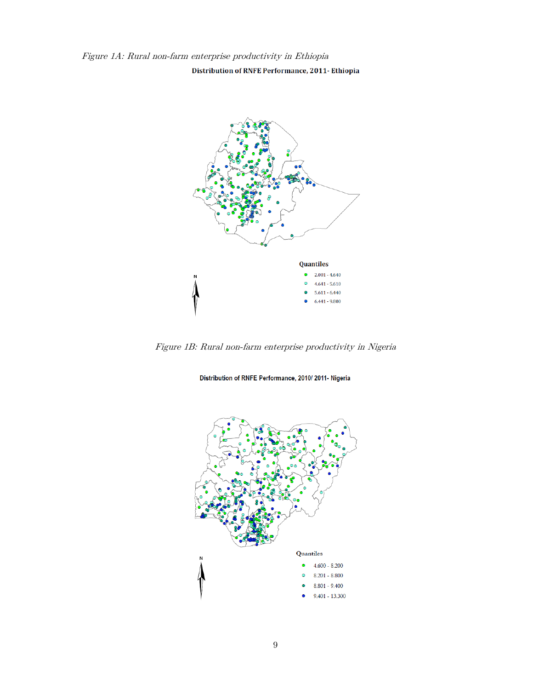Figure 1A: Rural non-farm enterprise productivity in Ethiopia

Distribution of RNFE Performance, 2011- Ethiopia



Figure 1B: Rural non-farm enterprise productivity in Nigeria

Distribution of RNFE Performance, 2010/2011- Nigeria

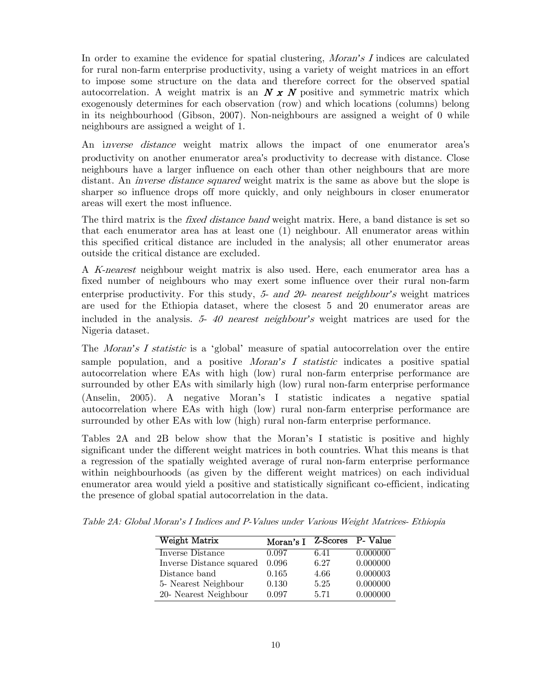In order to examine the evidence for spatial clustering, Moran*'*s I indices are calculated for rural non-farm enterprise productivity, using a variety of weight matrices in an effort to impose some structure on the data and therefore correct for the observed spatial autocorrelation. A weight matrix is an  $N \times N$  positive and symmetric matrix which exogenously determines for each observation (row) and which locations (columns) belong in its neighbourhood (Gibson, 2007). Non-neighbours are assigned a weight of 0 while neighbours are assigned a weight of 1.

An *inverse distance* weight matrix allows the impact of one enumerator area's productivity on another enumerator area's productivity to decrease with distance. Close neighbours have a larger influence on each other than other neighbours that are more distant. An *inverse distance squared* weight matrix is the same as above but the slope is sharper so influence drops off more quickly, and only neighbours in closer enumerator areas will exert the most influence.

The third matrix is the *fixed distance band* weight matrix. Here, a band distance is set so that each enumerator area has at least one (1) neighbour. All enumerator areas within this specified critical distance are included in the analysis; all other enumerator areas outside the critical distance are excluded.

A K-nearest neighbour weight matrix is also used. Here, each enumerator area has a fixed number of neighbours who may exert some influence over their rural non-farm enterprise productivity. For this study, 5- and 20- nearest neighbour*'*s weight matrices are used for the Ethiopia dataset, where the closest 5 and 20 enumerator areas are included in the analysis. 5- 40 nearest neighbour*'*s weight matrices are used for the Nigeria dataset.

The Moran*'*s I statistic is a 'global' measure of spatial autocorrelation over the entire sample population, and a positive Moran*'*s I statistic indicates a positive spatial autocorrelation where EAs with high (low) rural non-farm enterprise performance are surrounded by other EAs with similarly high (low) rural non-farm enterprise performance (Anselin, 2005). A negative Moran's I statistic indicates a negative spatial autocorrelation where EAs with high (low) rural non-farm enterprise performance are surrounded by other EAs with low (high) rural non-farm enterprise performance.

Tables 2A and 2B below show that the Moran's I statistic is positive and highly significant under the different weight matrices in both countries. What this means is that a regression of the spatially weighted average of rural non-farm enterprise performance within neighbourhoods (as given by the different weight matrices) on each individual enumerator area would yield a positive and statistically significant co-efficient, indicating the presence of global spatial autocorrelation in the data.

| Weight Matrix            | Moran's I |      | Z-Scores P- Value |
|--------------------------|-----------|------|-------------------|
| Inverse Distance         | 0.097     | 6.41 | 0.000000          |
| Inverse Distance squared | 0.096     | 6.27 | 0.000000          |
| Distance band            | 0.165     | 4.66 | 0.000003          |
| 5- Nearest Neighbour     | 0.130     | 5.25 | 0.000000          |
| 20- Nearest Neighbour    | 0.097     | 5.71 | 0.000000          |

Table 2A: Global Moran*'*s I Indices and P-Values under Various Weight Matrices- Ethiopia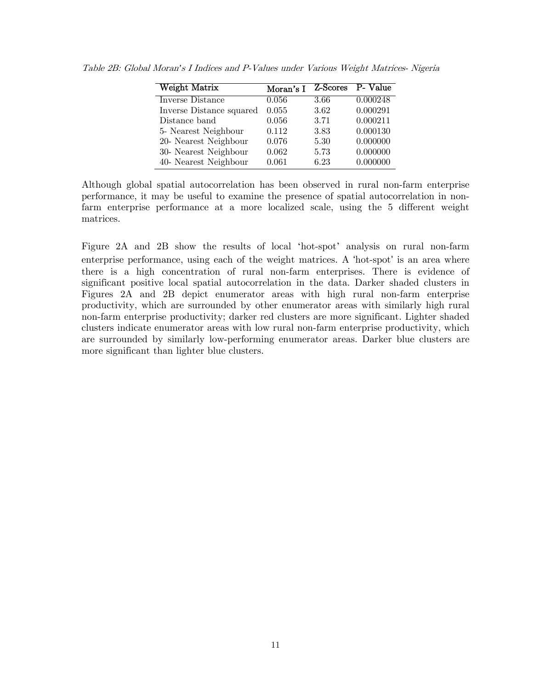| Weight Matrix            | Moran's I | Z-Scores | P- Value |
|--------------------------|-----------|----------|----------|
| Inverse Distance         | 0.056     | 3.66     | 0.000248 |
| Inverse Distance squared | 0.055     | 3.62     | 0.000291 |
| Distance band            | 0.056     | 3.71     | 0.000211 |
| 5- Nearest Neighbour     | 0.112     | 3.83     | 0.000130 |
| 20- Nearest Neighbour    | 0.076     | 5.30     | 0.000000 |
| 30- Nearest Neighbour    | 0.062     | 5.73     | 0.000000 |
| 40- Nearest Neighbour    | 0.061     | 6.23     | 0.000000 |

Table 2B: Global Moran*'*s I Indices and P-Values under Various Weight Matrices- Nigeria

Although global spatial autocorrelation has been observed in rural non-farm enterprise performance, it may be useful to examine the presence of spatial autocorrelation in nonfarm enterprise performance at a more localized scale, using the 5 different weight matrices.

Figure 2A and 2B show the results of local 'hot-spot' analysis on rural non-farm enterprise performance, using each of the weight matrices. A 'hot-spot' is an area where there is a high concentration of rural non-farm enterprises. There is evidence of significant positive local spatial autocorrelation in the data. Darker shaded clusters in Figures 2A and 2B depict enumerator areas with high rural non-farm enterprise productivity, which are surrounded by other enumerator areas with similarly high rural non-farm enterprise productivity; darker red clusters are more significant. Lighter shaded clusters indicate enumerator areas with low rural non-farm enterprise productivity, which are surrounded by similarly low-performing enumerator areas. Darker blue clusters are more significant than lighter blue clusters.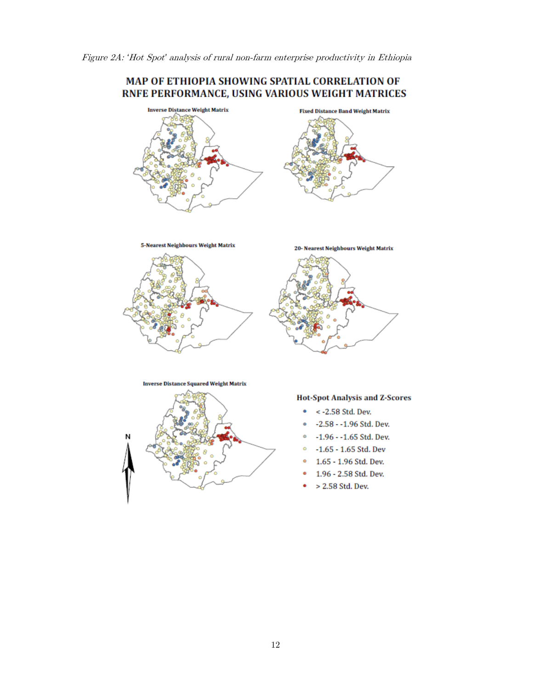

**5-Nearest Neighbours Weight Matrix** 





**Inverse Distance Squared Weight Matrix** 

**Hot-Spot Analysis and Z-Scores** 

- $\bullet \quad$  < -2.58 Std. Dev.
- -2.58 -1.96 Std. Dev.
- $\degree$  -1.96 -1.65 Std. Dev.
- $\circ$  -1.65 1.65 Std. Dev
- <sup>o</sup> 1.65 1.96 Std. Dev.
- 1.96 2.58 Std. Dev.
- > 2.58 Std. Dev.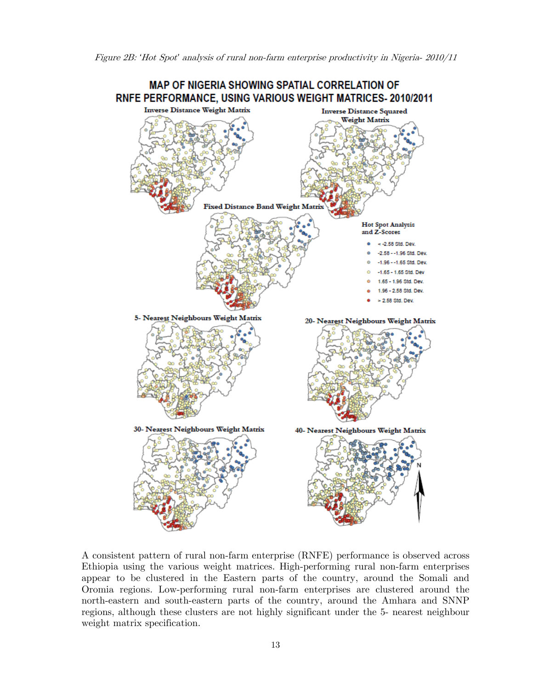

A consistent pattern of rural non-farm enterprise (RNFE) performance is observed across Ethiopia using the various weight matrices. High-performing rural non-farm enterprises appear to be clustered in the Eastern parts of the country, around the Somali and Oromia regions. Low-performing rural non-farm enterprises are clustered around the north-eastern and south-eastern parts of the country, around the Amhara and SNNP regions, although these clusters are not highly significant under the 5- nearest neighbour weight matrix specification.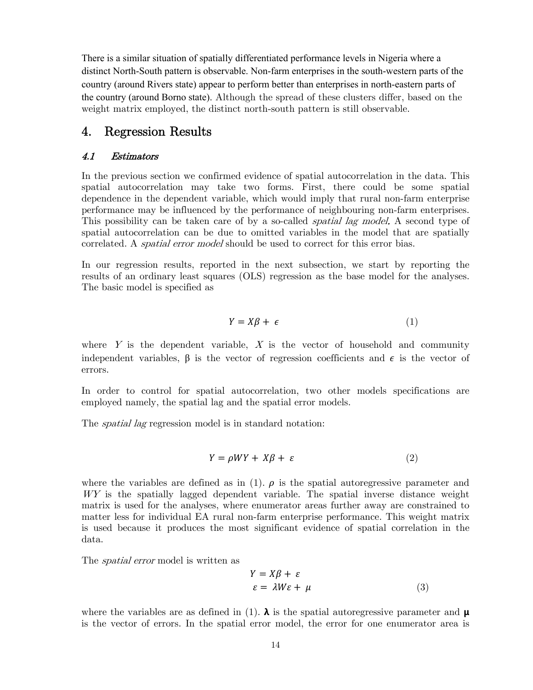There is a similar situation of spatially differentiated performance levels in Nigeria where a distinct North-South pattern is observable. Non-farm enterprises in the south-western parts of the country (around Rivers state) appear to perform better than enterprises in north-eastern parts of the country (around Borno state). Although the spread of these clusters differ, based on the weight matrix employed, the distinct north-south pattern is still observable.

### 4. Regression Results

#### 4.1 Estimators

In the previous section we confirmed evidence of spatial autocorrelation in the data. This spatial autocorrelation may take two forms. First, there could be some spatial dependence in the dependent variable, which would imply that rural non-farm enterprise performance may be influenced by the performance of neighbouring non-farm enterprises. This possibility can be taken care of by a so-called *spatial lag model*. A second type of spatial autocorrelation can be due to omitted variables in the model that are spatially correlated. A *spatial error model* should be used to correct for this error bias.

In our regression results, reported in the next subsection, we start by reporting the results of an ordinary least squares (OLS) regression as the base model for the analyses. The basic model is specified as

$$
Y = X\beta + \epsilon \tag{1}
$$

where  $Y$  is the dependent variable,  $X$  is the vector of household and community independent variables,  $\beta$  is the vector of regression coefficients and  $\epsilon$  is the vector of errors.

In order to control for spatial autocorrelation, two other models specifications are employed namely, the spatial lag and the spatial error models.

The *spatial lag* regression model is in standard notation:

$$
Y = \rho W Y + X\beta + \varepsilon \tag{2}
$$

where the variables are defined as in (1).  $\rho$  is the spatial autoregressive parameter and WY is the spatially lagged dependent variable. The spatial inverse distance weight matrix is used for the analyses, where enumerator areas further away are constrained to matter less for individual EA rural non-farm enterprise performance. This weight matrix is used because it produces the most significant evidence of spatial correlation in the data.

The spatial error model is written as

$$
Y = X\beta + \varepsilon
$$
  

$$
\varepsilon = \lambda W\varepsilon + \mu
$$
 (3)

where the variables are as defined in (1).  $\lambda$  is the spatial autoregressive parameter and  $\mu$ is the vector of errors. In the spatial error model, the error for one enumerator area is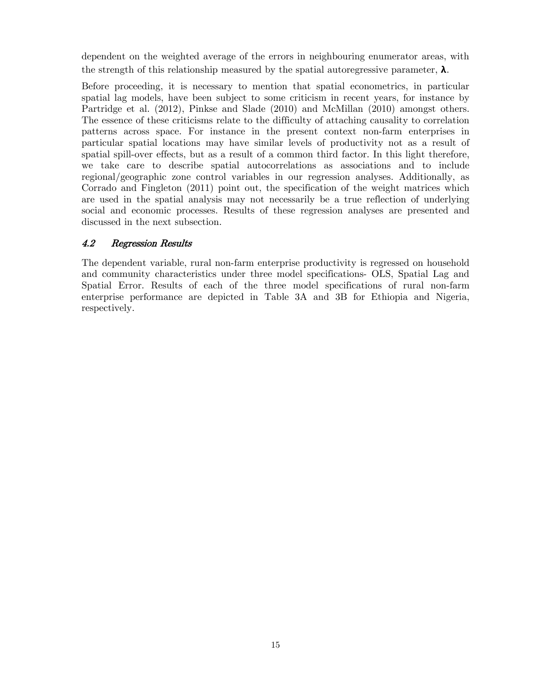dependent on the weighted average of the errors in neighbouring enumerator areas, with the strength of this relationship measured by the spatial autoregressive parameter,  $\lambda$ .

Before proceeding, it is necessary to mention that spatial econometrics, in particular spatial lag models, have been subject to some criticism in recent years, for instance by Partridge et al. (2012), Pinkse and Slade (2010) and McMillan (2010) amongst others. The essence of these criticisms relate to the difficulty of attaching causality to correlation patterns across space. For instance in the present context non-farm enterprises in particular spatial locations may have similar levels of productivity not as a result of spatial spill-over effects, but as a result of a common third factor. In this light therefore, we take care to describe spatial autocorrelations as associations and to include regional/geographic zone control variables in our regression analyses. Additionally, as Corrado and Fingleton (2011) point out, the specification of the weight matrices which are used in the spatial analysis may not necessarily be a true reflection of underlying social and economic processes. Results of these regression analyses are presented and discussed in the next subsection.

### 4.2 Regression Results

The dependent variable, rural non-farm enterprise productivity is regressed on household and community characteristics under three model specifications- OLS, Spatial Lag and Spatial Error. Results of each of the three model specifications of rural non-farm enterprise performance are depicted in Table 3A and 3B for Ethiopia and Nigeria, respectively.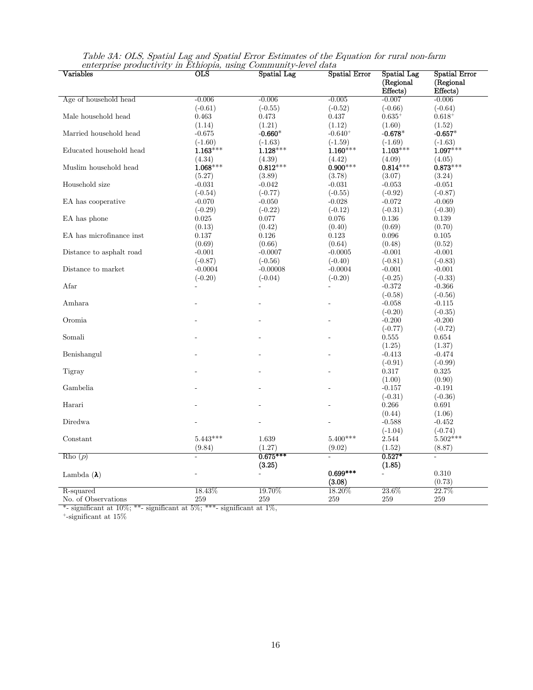| (Regional<br>(Regional<br>Effects)<br>Effects)<br>Age of household head<br>$-0.006$<br>$-0.006$<br>$-0.005$<br>$-0.007$<br>$-0.006$<br>$(-0.61)$<br>$(-0.55)$<br>$(-0.52)$<br>$(-0.66)$<br>$(-0.64)$<br>Male household head<br>$0.635^{+}$<br>0.463<br>0.473<br>0.437<br>$0.618^{+}$<br>(1.14)<br>(1.21)<br>(1.12)<br>(1.60)<br>(1.52)<br>Married household head<br>$-0.675$<br>-0.660 $^\ast$<br>$-0.640+$<br>- $0.678^{\ast}$<br>$-0.657*$<br>$(-1.60)$<br>$(-1.63)$<br>$(-1.69)$<br>$(-1.63)$<br>$(-1.59)$<br>$1.163***$<br>$1.128***$<br>$1.160***$<br>$1.103***$<br>$1.097***$<br>$\operatorname{Educed}$ household head<br>(4.34)<br>(4.39)<br>(4.42)<br>(4.09)<br>(4.05)<br>$0.900***$<br>$1.068***$<br>$0.812***$<br>$0.814***$<br>$0.873***$<br>Muslim household head<br>(5.27)<br>(3.89)<br>(3.78)<br>(3.07)<br>(3.24)<br>Household size<br>$-0.053$<br>$-0.031$<br>$-0.042$<br>$-0.031$<br>$-0.051$<br>$(-0.54)$<br>$(-0.77)$<br>$(-0.92)$<br>$(-0.87)$<br>$(-0.55)$<br>$-0.072$<br>EA has cooperative<br>$-0.070$<br>$-0.050$<br>$-0.028$<br>$-0.069$<br>$(-0.31)$<br>$(-0.29)$<br>$(-0.22)$<br>$(-0.12)$<br>$(-0.30)$<br>0.076<br>0.136<br>0.139<br>EA has phone<br>0.025<br>0.077<br>(0.13)<br>(0.42)<br>(0.40)<br>(0.69)<br>(0.70)<br>EA has microfinance inst<br>0.137<br>0.126<br>0.123<br>0.096<br>0.105<br>(0.69)<br>(0.66)<br>(0.64)<br>(0.48)<br>(0.52)<br>$-0.001$<br>Distance to asphalt road<br>$-0.001$<br>$-0.0007$<br>$-0.0005$<br>$-0.001$<br>$(-0.87)$<br>$(-0.56)$<br>$(-0.81)$<br>$(-0.83)$<br>$(-0.40)$<br>Distance to market<br>$-0.0004$<br>$-0.00008$<br>$-0.001$<br>$-0.0004$<br>$-0.001$<br>$(-0.20)$<br>$(-0.04)$<br>$(-0.20)$<br>$(-0.25)$<br>$(-0.33)$<br>Afar<br>$-0.372$<br>$-0.366$<br>$(-0.58)$<br>$(-0.56)$<br>Amhara<br>$-0.058$<br>$-0.115$<br>$(-0.20)$<br>$(-0.35)$<br>Oromia<br>$-0.200$<br>$-0.200$<br>$(-0.77)$<br>$(-0.72)$<br>Somali<br>0.555<br>0.654<br>(1.25)<br>(1.37)<br>Benishangul<br>$-0.413$<br>$-0.474$<br>$(-0.91)$<br>$(-0.99)$<br>Tigray<br>0.317<br>0.325<br>(1.00)<br>(0.90)<br>Gambelia<br>$-0.157$<br>$-0.191$<br>$(-0.31)$<br>$(-0.36)$<br>Harari<br>0.266<br>0.691<br>(0.44)<br>(1.06)<br>Diredwa<br>$-0.588$<br>$-0.452$<br>$(-1.04)$<br>$(-0.74)$<br>$5.443***$<br>$5.400***$<br>$5.502***$<br>1.639<br>2.544<br>Constant<br>(9.84)<br>(1.27)<br>(9.02)<br>(1.52)<br>(8.87)<br>$0.675***$<br>$0.527*$<br>Rho(p)<br>$\overline{a}$<br>(3.25)<br>(1.85)<br>$0.699***$<br>0.310<br>Lambda $(\lambda)$<br>(3.08)<br>(0.73)<br>18.43%<br>19.70%<br>18.20%<br>$23.6\%$<br>22.7%<br>R-squared<br>No. of Observations<br>259<br>259<br>259<br>259<br>259 | $\rm Variables$ | $_{\rm OLS}$ | Spatial Lag | Spatial Error | <b>Spatial Lag</b> | <b>Spatial Error</b> |
|-----------------------------------------------------------------------------------------------------------------------------------------------------------------------------------------------------------------------------------------------------------------------------------------------------------------------------------------------------------------------------------------------------------------------------------------------------------------------------------------------------------------------------------------------------------------------------------------------------------------------------------------------------------------------------------------------------------------------------------------------------------------------------------------------------------------------------------------------------------------------------------------------------------------------------------------------------------------------------------------------------------------------------------------------------------------------------------------------------------------------------------------------------------------------------------------------------------------------------------------------------------------------------------------------------------------------------------------------------------------------------------------------------------------------------------------------------------------------------------------------------------------------------------------------------------------------------------------------------------------------------------------------------------------------------------------------------------------------------------------------------------------------------------------------------------------------------------------------------------------------------------------------------------------------------------------------------------------------------------------------------------------------------------------------------------------------------------------------------------------------------------------------------------------------------------------------------------------------------------------------------------------------------------------------------------------------------------------------------------------------------------------------------------------------------------------------------------------------------------------------------------------------------------------------------------------------------------------------------------------------------|-----------------|--------------|-------------|---------------|--------------------|----------------------|
|                                                                                                                                                                                                                                                                                                                                                                                                                                                                                                                                                                                                                                                                                                                                                                                                                                                                                                                                                                                                                                                                                                                                                                                                                                                                                                                                                                                                                                                                                                                                                                                                                                                                                                                                                                                                                                                                                                                                                                                                                                                                                                                                                                                                                                                                                                                                                                                                                                                                                                                                                                                                                             |                 |              |             |               |                    |                      |
|                                                                                                                                                                                                                                                                                                                                                                                                                                                                                                                                                                                                                                                                                                                                                                                                                                                                                                                                                                                                                                                                                                                                                                                                                                                                                                                                                                                                                                                                                                                                                                                                                                                                                                                                                                                                                                                                                                                                                                                                                                                                                                                                                                                                                                                                                                                                                                                                                                                                                                                                                                                                                             |                 |              |             |               |                    |                      |
|                                                                                                                                                                                                                                                                                                                                                                                                                                                                                                                                                                                                                                                                                                                                                                                                                                                                                                                                                                                                                                                                                                                                                                                                                                                                                                                                                                                                                                                                                                                                                                                                                                                                                                                                                                                                                                                                                                                                                                                                                                                                                                                                                                                                                                                                                                                                                                                                                                                                                                                                                                                                                             |                 |              |             |               |                    |                      |
|                                                                                                                                                                                                                                                                                                                                                                                                                                                                                                                                                                                                                                                                                                                                                                                                                                                                                                                                                                                                                                                                                                                                                                                                                                                                                                                                                                                                                                                                                                                                                                                                                                                                                                                                                                                                                                                                                                                                                                                                                                                                                                                                                                                                                                                                                                                                                                                                                                                                                                                                                                                                                             |                 |              |             |               |                    |                      |
|                                                                                                                                                                                                                                                                                                                                                                                                                                                                                                                                                                                                                                                                                                                                                                                                                                                                                                                                                                                                                                                                                                                                                                                                                                                                                                                                                                                                                                                                                                                                                                                                                                                                                                                                                                                                                                                                                                                                                                                                                                                                                                                                                                                                                                                                                                                                                                                                                                                                                                                                                                                                                             |                 |              |             |               |                    |                      |
|                                                                                                                                                                                                                                                                                                                                                                                                                                                                                                                                                                                                                                                                                                                                                                                                                                                                                                                                                                                                                                                                                                                                                                                                                                                                                                                                                                                                                                                                                                                                                                                                                                                                                                                                                                                                                                                                                                                                                                                                                                                                                                                                                                                                                                                                                                                                                                                                                                                                                                                                                                                                                             |                 |              |             |               |                    |                      |
|                                                                                                                                                                                                                                                                                                                                                                                                                                                                                                                                                                                                                                                                                                                                                                                                                                                                                                                                                                                                                                                                                                                                                                                                                                                                                                                                                                                                                                                                                                                                                                                                                                                                                                                                                                                                                                                                                                                                                                                                                                                                                                                                                                                                                                                                                                                                                                                                                                                                                                                                                                                                                             |                 |              |             |               |                    |                      |
|                                                                                                                                                                                                                                                                                                                                                                                                                                                                                                                                                                                                                                                                                                                                                                                                                                                                                                                                                                                                                                                                                                                                                                                                                                                                                                                                                                                                                                                                                                                                                                                                                                                                                                                                                                                                                                                                                                                                                                                                                                                                                                                                                                                                                                                                                                                                                                                                                                                                                                                                                                                                                             |                 |              |             |               |                    |                      |
|                                                                                                                                                                                                                                                                                                                                                                                                                                                                                                                                                                                                                                                                                                                                                                                                                                                                                                                                                                                                                                                                                                                                                                                                                                                                                                                                                                                                                                                                                                                                                                                                                                                                                                                                                                                                                                                                                                                                                                                                                                                                                                                                                                                                                                                                                                                                                                                                                                                                                                                                                                                                                             |                 |              |             |               |                    |                      |
|                                                                                                                                                                                                                                                                                                                                                                                                                                                                                                                                                                                                                                                                                                                                                                                                                                                                                                                                                                                                                                                                                                                                                                                                                                                                                                                                                                                                                                                                                                                                                                                                                                                                                                                                                                                                                                                                                                                                                                                                                                                                                                                                                                                                                                                                                                                                                                                                                                                                                                                                                                                                                             |                 |              |             |               |                    |                      |
|                                                                                                                                                                                                                                                                                                                                                                                                                                                                                                                                                                                                                                                                                                                                                                                                                                                                                                                                                                                                                                                                                                                                                                                                                                                                                                                                                                                                                                                                                                                                                                                                                                                                                                                                                                                                                                                                                                                                                                                                                                                                                                                                                                                                                                                                                                                                                                                                                                                                                                                                                                                                                             |                 |              |             |               |                    |                      |
|                                                                                                                                                                                                                                                                                                                                                                                                                                                                                                                                                                                                                                                                                                                                                                                                                                                                                                                                                                                                                                                                                                                                                                                                                                                                                                                                                                                                                                                                                                                                                                                                                                                                                                                                                                                                                                                                                                                                                                                                                                                                                                                                                                                                                                                                                                                                                                                                                                                                                                                                                                                                                             |                 |              |             |               |                    |                      |
|                                                                                                                                                                                                                                                                                                                                                                                                                                                                                                                                                                                                                                                                                                                                                                                                                                                                                                                                                                                                                                                                                                                                                                                                                                                                                                                                                                                                                                                                                                                                                                                                                                                                                                                                                                                                                                                                                                                                                                                                                                                                                                                                                                                                                                                                                                                                                                                                                                                                                                                                                                                                                             |                 |              |             |               |                    |                      |
|                                                                                                                                                                                                                                                                                                                                                                                                                                                                                                                                                                                                                                                                                                                                                                                                                                                                                                                                                                                                                                                                                                                                                                                                                                                                                                                                                                                                                                                                                                                                                                                                                                                                                                                                                                                                                                                                                                                                                                                                                                                                                                                                                                                                                                                                                                                                                                                                                                                                                                                                                                                                                             |                 |              |             |               |                    |                      |
|                                                                                                                                                                                                                                                                                                                                                                                                                                                                                                                                                                                                                                                                                                                                                                                                                                                                                                                                                                                                                                                                                                                                                                                                                                                                                                                                                                                                                                                                                                                                                                                                                                                                                                                                                                                                                                                                                                                                                                                                                                                                                                                                                                                                                                                                                                                                                                                                                                                                                                                                                                                                                             |                 |              |             |               |                    |                      |
|                                                                                                                                                                                                                                                                                                                                                                                                                                                                                                                                                                                                                                                                                                                                                                                                                                                                                                                                                                                                                                                                                                                                                                                                                                                                                                                                                                                                                                                                                                                                                                                                                                                                                                                                                                                                                                                                                                                                                                                                                                                                                                                                                                                                                                                                                                                                                                                                                                                                                                                                                                                                                             |                 |              |             |               |                    |                      |
|                                                                                                                                                                                                                                                                                                                                                                                                                                                                                                                                                                                                                                                                                                                                                                                                                                                                                                                                                                                                                                                                                                                                                                                                                                                                                                                                                                                                                                                                                                                                                                                                                                                                                                                                                                                                                                                                                                                                                                                                                                                                                                                                                                                                                                                                                                                                                                                                                                                                                                                                                                                                                             |                 |              |             |               |                    |                      |
|                                                                                                                                                                                                                                                                                                                                                                                                                                                                                                                                                                                                                                                                                                                                                                                                                                                                                                                                                                                                                                                                                                                                                                                                                                                                                                                                                                                                                                                                                                                                                                                                                                                                                                                                                                                                                                                                                                                                                                                                                                                                                                                                                                                                                                                                                                                                                                                                                                                                                                                                                                                                                             |                 |              |             |               |                    |                      |
|                                                                                                                                                                                                                                                                                                                                                                                                                                                                                                                                                                                                                                                                                                                                                                                                                                                                                                                                                                                                                                                                                                                                                                                                                                                                                                                                                                                                                                                                                                                                                                                                                                                                                                                                                                                                                                                                                                                                                                                                                                                                                                                                                                                                                                                                                                                                                                                                                                                                                                                                                                                                                             |                 |              |             |               |                    |                      |
|                                                                                                                                                                                                                                                                                                                                                                                                                                                                                                                                                                                                                                                                                                                                                                                                                                                                                                                                                                                                                                                                                                                                                                                                                                                                                                                                                                                                                                                                                                                                                                                                                                                                                                                                                                                                                                                                                                                                                                                                                                                                                                                                                                                                                                                                                                                                                                                                                                                                                                                                                                                                                             |                 |              |             |               |                    |                      |
|                                                                                                                                                                                                                                                                                                                                                                                                                                                                                                                                                                                                                                                                                                                                                                                                                                                                                                                                                                                                                                                                                                                                                                                                                                                                                                                                                                                                                                                                                                                                                                                                                                                                                                                                                                                                                                                                                                                                                                                                                                                                                                                                                                                                                                                                                                                                                                                                                                                                                                                                                                                                                             |                 |              |             |               |                    |                      |
|                                                                                                                                                                                                                                                                                                                                                                                                                                                                                                                                                                                                                                                                                                                                                                                                                                                                                                                                                                                                                                                                                                                                                                                                                                                                                                                                                                                                                                                                                                                                                                                                                                                                                                                                                                                                                                                                                                                                                                                                                                                                                                                                                                                                                                                                                                                                                                                                                                                                                                                                                                                                                             |                 |              |             |               |                    |                      |
|                                                                                                                                                                                                                                                                                                                                                                                                                                                                                                                                                                                                                                                                                                                                                                                                                                                                                                                                                                                                                                                                                                                                                                                                                                                                                                                                                                                                                                                                                                                                                                                                                                                                                                                                                                                                                                                                                                                                                                                                                                                                                                                                                                                                                                                                                                                                                                                                                                                                                                                                                                                                                             |                 |              |             |               |                    |                      |
|                                                                                                                                                                                                                                                                                                                                                                                                                                                                                                                                                                                                                                                                                                                                                                                                                                                                                                                                                                                                                                                                                                                                                                                                                                                                                                                                                                                                                                                                                                                                                                                                                                                                                                                                                                                                                                                                                                                                                                                                                                                                                                                                                                                                                                                                                                                                                                                                                                                                                                                                                                                                                             |                 |              |             |               |                    |                      |
|                                                                                                                                                                                                                                                                                                                                                                                                                                                                                                                                                                                                                                                                                                                                                                                                                                                                                                                                                                                                                                                                                                                                                                                                                                                                                                                                                                                                                                                                                                                                                                                                                                                                                                                                                                                                                                                                                                                                                                                                                                                                                                                                                                                                                                                                                                                                                                                                                                                                                                                                                                                                                             |                 |              |             |               |                    |                      |
|                                                                                                                                                                                                                                                                                                                                                                                                                                                                                                                                                                                                                                                                                                                                                                                                                                                                                                                                                                                                                                                                                                                                                                                                                                                                                                                                                                                                                                                                                                                                                                                                                                                                                                                                                                                                                                                                                                                                                                                                                                                                                                                                                                                                                                                                                                                                                                                                                                                                                                                                                                                                                             |                 |              |             |               |                    |                      |
|                                                                                                                                                                                                                                                                                                                                                                                                                                                                                                                                                                                                                                                                                                                                                                                                                                                                                                                                                                                                                                                                                                                                                                                                                                                                                                                                                                                                                                                                                                                                                                                                                                                                                                                                                                                                                                                                                                                                                                                                                                                                                                                                                                                                                                                                                                                                                                                                                                                                                                                                                                                                                             |                 |              |             |               |                    |                      |
|                                                                                                                                                                                                                                                                                                                                                                                                                                                                                                                                                                                                                                                                                                                                                                                                                                                                                                                                                                                                                                                                                                                                                                                                                                                                                                                                                                                                                                                                                                                                                                                                                                                                                                                                                                                                                                                                                                                                                                                                                                                                                                                                                                                                                                                                                                                                                                                                                                                                                                                                                                                                                             |                 |              |             |               |                    |                      |
|                                                                                                                                                                                                                                                                                                                                                                                                                                                                                                                                                                                                                                                                                                                                                                                                                                                                                                                                                                                                                                                                                                                                                                                                                                                                                                                                                                                                                                                                                                                                                                                                                                                                                                                                                                                                                                                                                                                                                                                                                                                                                                                                                                                                                                                                                                                                                                                                                                                                                                                                                                                                                             |                 |              |             |               |                    |                      |
|                                                                                                                                                                                                                                                                                                                                                                                                                                                                                                                                                                                                                                                                                                                                                                                                                                                                                                                                                                                                                                                                                                                                                                                                                                                                                                                                                                                                                                                                                                                                                                                                                                                                                                                                                                                                                                                                                                                                                                                                                                                                                                                                                                                                                                                                                                                                                                                                                                                                                                                                                                                                                             |                 |              |             |               |                    |                      |
|                                                                                                                                                                                                                                                                                                                                                                                                                                                                                                                                                                                                                                                                                                                                                                                                                                                                                                                                                                                                                                                                                                                                                                                                                                                                                                                                                                                                                                                                                                                                                                                                                                                                                                                                                                                                                                                                                                                                                                                                                                                                                                                                                                                                                                                                                                                                                                                                                                                                                                                                                                                                                             |                 |              |             |               |                    |                      |
|                                                                                                                                                                                                                                                                                                                                                                                                                                                                                                                                                                                                                                                                                                                                                                                                                                                                                                                                                                                                                                                                                                                                                                                                                                                                                                                                                                                                                                                                                                                                                                                                                                                                                                                                                                                                                                                                                                                                                                                                                                                                                                                                                                                                                                                                                                                                                                                                                                                                                                                                                                                                                             |                 |              |             |               |                    |                      |
|                                                                                                                                                                                                                                                                                                                                                                                                                                                                                                                                                                                                                                                                                                                                                                                                                                                                                                                                                                                                                                                                                                                                                                                                                                                                                                                                                                                                                                                                                                                                                                                                                                                                                                                                                                                                                                                                                                                                                                                                                                                                                                                                                                                                                                                                                                                                                                                                                                                                                                                                                                                                                             |                 |              |             |               |                    |                      |
|                                                                                                                                                                                                                                                                                                                                                                                                                                                                                                                                                                                                                                                                                                                                                                                                                                                                                                                                                                                                                                                                                                                                                                                                                                                                                                                                                                                                                                                                                                                                                                                                                                                                                                                                                                                                                                                                                                                                                                                                                                                                                                                                                                                                                                                                                                                                                                                                                                                                                                                                                                                                                             |                 |              |             |               |                    |                      |
|                                                                                                                                                                                                                                                                                                                                                                                                                                                                                                                                                                                                                                                                                                                                                                                                                                                                                                                                                                                                                                                                                                                                                                                                                                                                                                                                                                                                                                                                                                                                                                                                                                                                                                                                                                                                                                                                                                                                                                                                                                                                                                                                                                                                                                                                                                                                                                                                                                                                                                                                                                                                                             |                 |              |             |               |                    |                      |
|                                                                                                                                                                                                                                                                                                                                                                                                                                                                                                                                                                                                                                                                                                                                                                                                                                                                                                                                                                                                                                                                                                                                                                                                                                                                                                                                                                                                                                                                                                                                                                                                                                                                                                                                                                                                                                                                                                                                                                                                                                                                                                                                                                                                                                                                                                                                                                                                                                                                                                                                                                                                                             |                 |              |             |               |                    |                      |
|                                                                                                                                                                                                                                                                                                                                                                                                                                                                                                                                                                                                                                                                                                                                                                                                                                                                                                                                                                                                                                                                                                                                                                                                                                                                                                                                                                                                                                                                                                                                                                                                                                                                                                                                                                                                                                                                                                                                                                                                                                                                                                                                                                                                                                                                                                                                                                                                                                                                                                                                                                                                                             |                 |              |             |               |                    |                      |
|                                                                                                                                                                                                                                                                                                                                                                                                                                                                                                                                                                                                                                                                                                                                                                                                                                                                                                                                                                                                                                                                                                                                                                                                                                                                                                                                                                                                                                                                                                                                                                                                                                                                                                                                                                                                                                                                                                                                                                                                                                                                                                                                                                                                                                                                                                                                                                                                                                                                                                                                                                                                                             |                 |              |             |               |                    |                      |
|                                                                                                                                                                                                                                                                                                                                                                                                                                                                                                                                                                                                                                                                                                                                                                                                                                                                                                                                                                                                                                                                                                                                                                                                                                                                                                                                                                                                                                                                                                                                                                                                                                                                                                                                                                                                                                                                                                                                                                                                                                                                                                                                                                                                                                                                                                                                                                                                                                                                                                                                                                                                                             |                 |              |             |               |                    |                      |
|                                                                                                                                                                                                                                                                                                                                                                                                                                                                                                                                                                                                                                                                                                                                                                                                                                                                                                                                                                                                                                                                                                                                                                                                                                                                                                                                                                                                                                                                                                                                                                                                                                                                                                                                                                                                                                                                                                                                                                                                                                                                                                                                                                                                                                                                                                                                                                                                                                                                                                                                                                                                                             |                 |              |             |               |                    |                      |
|                                                                                                                                                                                                                                                                                                                                                                                                                                                                                                                                                                                                                                                                                                                                                                                                                                                                                                                                                                                                                                                                                                                                                                                                                                                                                                                                                                                                                                                                                                                                                                                                                                                                                                                                                                                                                                                                                                                                                                                                                                                                                                                                                                                                                                                                                                                                                                                                                                                                                                                                                                                                                             |                 |              |             |               |                    |                      |
|                                                                                                                                                                                                                                                                                                                                                                                                                                                                                                                                                                                                                                                                                                                                                                                                                                                                                                                                                                                                                                                                                                                                                                                                                                                                                                                                                                                                                                                                                                                                                                                                                                                                                                                                                                                                                                                                                                                                                                                                                                                                                                                                                                                                                                                                                                                                                                                                                                                                                                                                                                                                                             |                 |              |             |               |                    |                      |
|                                                                                                                                                                                                                                                                                                                                                                                                                                                                                                                                                                                                                                                                                                                                                                                                                                                                                                                                                                                                                                                                                                                                                                                                                                                                                                                                                                                                                                                                                                                                                                                                                                                                                                                                                                                                                                                                                                                                                                                                                                                                                                                                                                                                                                                                                                                                                                                                                                                                                                                                                                                                                             |                 |              |             |               |                    |                      |
|                                                                                                                                                                                                                                                                                                                                                                                                                                                                                                                                                                                                                                                                                                                                                                                                                                                                                                                                                                                                                                                                                                                                                                                                                                                                                                                                                                                                                                                                                                                                                                                                                                                                                                                                                                                                                                                                                                                                                                                                                                                                                                                                                                                                                                                                                                                                                                                                                                                                                                                                                                                                                             |                 |              |             |               |                    |                      |
|                                                                                                                                                                                                                                                                                                                                                                                                                                                                                                                                                                                                                                                                                                                                                                                                                                                                                                                                                                                                                                                                                                                                                                                                                                                                                                                                                                                                                                                                                                                                                                                                                                                                                                                                                                                                                                                                                                                                                                                                                                                                                                                                                                                                                                                                                                                                                                                                                                                                                                                                                                                                                             |                 |              |             |               |                    |                      |
|                                                                                                                                                                                                                                                                                                                                                                                                                                                                                                                                                                                                                                                                                                                                                                                                                                                                                                                                                                                                                                                                                                                                                                                                                                                                                                                                                                                                                                                                                                                                                                                                                                                                                                                                                                                                                                                                                                                                                                                                                                                                                                                                                                                                                                                                                                                                                                                                                                                                                                                                                                                                                             |                 |              |             |               |                    |                      |
|                                                                                                                                                                                                                                                                                                                                                                                                                                                                                                                                                                                                                                                                                                                                                                                                                                                                                                                                                                                                                                                                                                                                                                                                                                                                                                                                                                                                                                                                                                                                                                                                                                                                                                                                                                                                                                                                                                                                                                                                                                                                                                                                                                                                                                                                                                                                                                                                                                                                                                                                                                                                                             |                 |              |             |               |                    |                      |
|                                                                                                                                                                                                                                                                                                                                                                                                                                                                                                                                                                                                                                                                                                                                                                                                                                                                                                                                                                                                                                                                                                                                                                                                                                                                                                                                                                                                                                                                                                                                                                                                                                                                                                                                                                                                                                                                                                                                                                                                                                                                                                                                                                                                                                                                                                                                                                                                                                                                                                                                                                                                                             |                 |              |             |               |                    |                      |
|                                                                                                                                                                                                                                                                                                                                                                                                                                                                                                                                                                                                                                                                                                                                                                                                                                                                                                                                                                                                                                                                                                                                                                                                                                                                                                                                                                                                                                                                                                                                                                                                                                                                                                                                                                                                                                                                                                                                                                                                                                                                                                                                                                                                                                                                                                                                                                                                                                                                                                                                                                                                                             |                 |              |             |               |                    |                      |
|                                                                                                                                                                                                                                                                                                                                                                                                                                                                                                                                                                                                                                                                                                                                                                                                                                                                                                                                                                                                                                                                                                                                                                                                                                                                                                                                                                                                                                                                                                                                                                                                                                                                                                                                                                                                                                                                                                                                                                                                                                                                                                                                                                                                                                                                                                                                                                                                                                                                                                                                                                                                                             |                 |              |             |               |                    |                      |

Table 3A: OLS, Spatial Lag and Spatial Error Estimates of the Equation for rural non-farm enterprise productivity in Ethiopia, using Community-level data

\*- significant at  $10\%$ ; \*\*- significant at  $5\%$ ; \*\*\*- significant at  $1\%$ ,

+-significant at 15%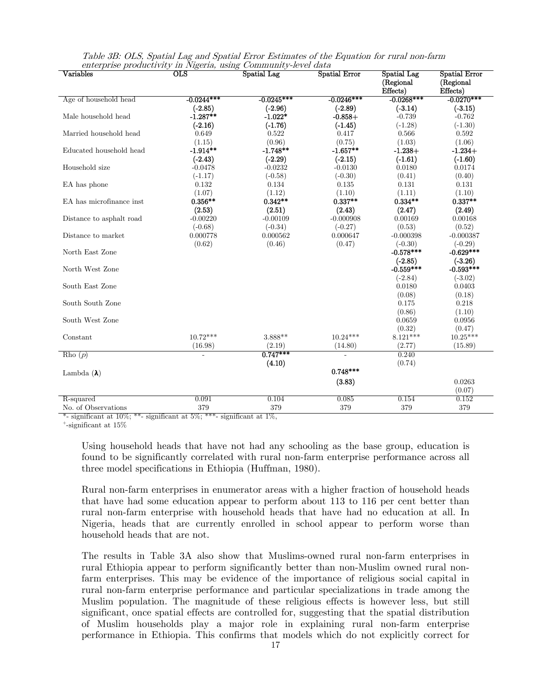| $\rm Variables$          | $_{\rm OLS}$   | Spatial Lag          | <b>Spatial Error</b> | Spatial Lag          | <b>Spatial Error</b> |
|--------------------------|----------------|----------------------|----------------------|----------------------|----------------------|
|                          |                |                      |                      | (Regional            | (Regional            |
|                          |                |                      |                      | Effects)             | Effects)             |
| Age of household head    | $-0.0244***$   | $-0.0245***$         | $-0.0246***$         | $-0.0268***$         | $-0.0270***$         |
|                          | $(-2.85)$      | $(-2.96)$            | $(-2.89)$            | $(-3.14)$            | $(-3.15)$            |
| Male household head      | $-1.287**$     | $-1.022*$            | $-0.858+$            | $-0.739$             | $-0.762$             |
|                          | $(-2.16)$      | $(-1.76)$            | $(-1.45)$            | $(-1.28)$            | $(-1.30)$            |
| Married household head   | 0.649          | 0.522                | 0.417                | 0.566                | 0.592                |
|                          | (1.15)         | (0.96)               | (0.75)               | (1.03)               | (1.06)               |
| Educated household head  | $-1.914**$     | $-1.748**$           | $-1.657**$           | $-1.238+$            | $-1.234+$            |
|                          | $(-2.43)$      | $(-2.29)$            | $(-2.15)$            | $(-1.61)$            | $(-1.60)$            |
| Household size           | $-0.0478$      | $-0.0232$            | $-0.0130$            | 0.0180               | 0.0174               |
|                          | $(-1.17)$      | $(-0.58)$            | $(-0.30)$            | (0.41)               | (0.40)               |
| EA has phone             | 0.132          | 0.134                | 0.135                | 0.131                | 0.131                |
|                          | (1.07)         | (1.12)               | (1.10)               | (1.11)               | (1.10)               |
| EA has microfinance inst | $0.356**$      | $0.342**$            | $0.337**$            | $0.334**$            | $0.337**$            |
|                          | (2.53)         | (2.51)               | (2.43)               | (2.47)               | (2.49)               |
| Distance to asphalt road | $-0.00220$     | $-0.00109$           | $-0.000908$          | 0.00169              | 0.00168              |
|                          | $(-0.68)$      | $(-0.34)$            | $(-0.27)$            | (0.53)               | (0.52)               |
| Distance to market       | 0.000778       | 0.000562             | 0.000647             | $-0.000398$          | $-0.000387$          |
|                          | (0.62)         | (0.46)               | (0.47)               | $(-0.30)$            | $(-0.29)$            |
| North East Zone          |                |                      |                      | $-0.578***$          | $-0.629***$          |
|                          |                |                      |                      | $(-2.85)$            | $(-3.26)$            |
| North West Zone          |                |                      |                      | $-0.559***$          | $-0.593***$          |
|                          |                |                      |                      | $(-2.84)$            | $(-3.02)$            |
| South East Zone          |                |                      |                      | 0.0180               | 0.0403               |
|                          |                |                      |                      | (0.08)               | (0.18)               |
| South South Zone         |                |                      |                      | 0.175                | 0.218                |
|                          |                |                      |                      | (0.86)               | (1.10)               |
| South West Zone          |                |                      |                      | 0.0659               | 0.0956               |
|                          | $10.72***$     | 3.888**              | $10.24***$           | (0.32)<br>$8.121***$ | (0.47)<br>$10.25***$ |
| Constant                 |                |                      |                      |                      |                      |
|                          | (16.98)        | (2.19)<br>$0.747***$ | (14.80)              | (2.77)               | (15.89)              |
| Rho $(p)$                | $\overline{a}$ |                      |                      | 0.240                |                      |
|                          |                | (4.10)               | $0.748***$           | (0.74)               |                      |
| Lambda $(\lambda)$       |                |                      |                      |                      |                      |
|                          |                |                      | (3.83)               |                      | 0.0263               |
|                          |                |                      |                      |                      | (0.07)               |
| R-squared                | 0.091          | 0.104                | 0.085                | 0.154                | 0.152                |
| No. of Observations      | 379            | 379                  | 379                  | 379                  | 379                  |

Table 3B: OLS, Spatial Lag and Spatial Error Estimates of the Equation for rural non-farm enterprise productivity in Nigeria, using Community-level data

\*- significant at 10%; \*\*- significant at 5%; \*\*\*- significant at 1%,  $+$ -significant at 15%

Using household heads that have not had any schooling as the base group, education is found to be significantly correlated with rural non-farm enterprise performance across all three model specifications in Ethiopia (Huffman, 1980).

Rural non-farm enterprises in enumerator areas with a higher fraction of household heads that have had some education appear to perform about 113 to 116 per cent better than rural non-farm enterprise with household heads that have had no education at all. In Nigeria, heads that are currently enrolled in school appear to perform worse than household heads that are not.

The results in Table 3A also show that Muslims-owned rural non-farm enterprises in rural Ethiopia appear to perform significantly better than non-Muslim owned rural nonfarm enterprises. This may be evidence of the importance of religious social capital in rural non-farm enterprise performance and particular specializations in trade among the Muslim population. The magnitude of these religious effects is however less, but still significant, once spatial effects are controlled for, suggesting that the spatial distribution of Muslim households play a major role in explaining rural non-farm enterprise performance in Ethiopia. This confirms that models which do not explicitly correct for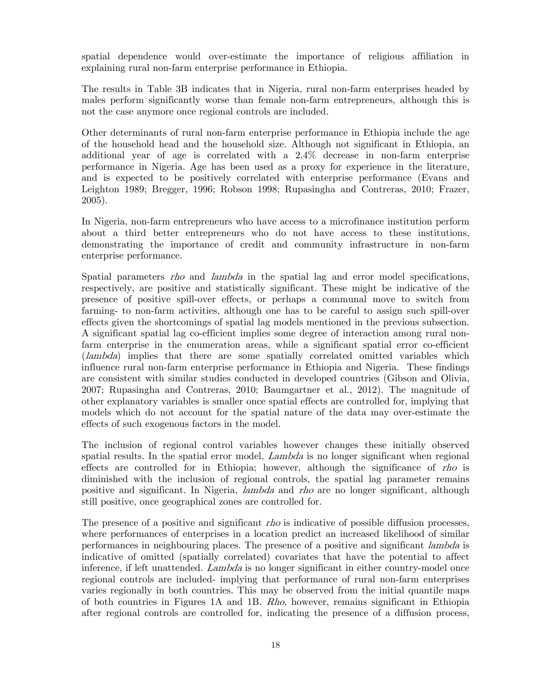spatial dependence would over-estimate the importance of religious affiliation in explaining rural non-farm enterprise performance in Ethiopia.

The results in Table 3B indicates that in Nigeria, rural non-farm enterprises headed by males perform significantly worse than female non-farm entrepreneurs, although this is not the case anymore once regional controls are included.

Other determinants of rural non-farm enterprise performance in Ethiopia include the age of the household head and the household size. Although not significant in Ethiopia, an additional year of age is correlated with a 2.4% decrease in non-farm enterprise performance in Nigeria. Age has been used as a proxy for experience in the literature, and is expected to be positively correlated with enterprise performance (Evans and Leighton 1989; Bregger, 1996; Robson 1998; Rupasingha and Contreras, 2010; Frazer, 2005).

In Nigeria, non-farm entrepreneurs who have access to a microfinance institution perform about a third better entrepreneurs who do not have access to these institutions, demonstrating the importance of credit and community infrastructure in non-farm enterprise performance.

Spatial parameters rho and lambda in the spatial lag and error model specifications, respectively, are positive and statistically significant. These might be indicative of the presence of positive spill-over effects, or perhaps a communal move to switch from farming- to non-farm activities, although one has to be careful to assign such spill-over effects given the shortcomings of spatial lag models mentioned in the previous subsection. A significant spatial lag co-efficient implies some degree of interaction among rural nonfarm enterprise in the enumeration areas, while a significant spatial error co-efficient (lambda) implies that there are some spatially correlated omitted variables which influence rural non-farm enterprise performance in Ethiopia and Nigeria. These findings are consistent with similar studies conducted in developed countries (Gibson and Olivia, 2007; Rupasingha and Contreras, 2010; Baumgartner et al., 2012). The magnitude of other explanatory variables is smaller once spatial effects are controlled for, implying that models which do not account for the spatial nature of the data may over-estimate the effects of such exogenous factors in the model.

The inclusion of regional control variables however changes these initially observed spatial results. In the spatial error model, *Lambda* is no longer significant when regional effects are controlled for in Ethiopia; however, although the significance of rho is diminished with the inclusion of regional controls, the spatial lag parameter remains positive and significant. In Nigeria, lambda and rho are no longer significant, although still positive, once geographical zones are controlled for.

The presence of a positive and significant *rho* is indicative of possible diffusion processes, where performances of enterprises in a location predict an increased likelihood of similar performances in neighbouring places. The presence of a positive and significant *lambda* is indicative of omitted (spatially correlated) covariates that have the potential to affect inference, if left unattended. Lambda is no longer significant in either country-model once regional controls are included- implying that performance of rural non-farm enterprises varies regionally in both countries. This may be observed from the initial quantile maps of both countries in Figures 1A and 1B. Rho, however, remains significant in Ethiopia after regional controls are controlled for, indicating the presence of a diffusion process,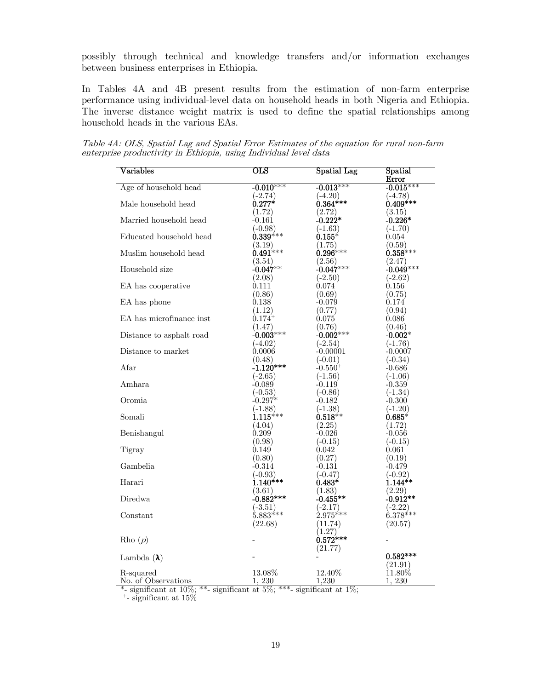possibly through technical and knowledge transfers and/or information exchanges between business enterprises in Ethiopia.

In Tables 4A and 4B present results from the estimation of non-farm enterprise performance using individual-level data on household heads in both Nigeria and Ethiopia. The inverse distance weight matrix is used to define the spatial relationships among household heads in the various EAs.

Table 4A: OLS, Spatial Lag and Spatial Error Estimates of the equation for rural non-farm enterprise productivity in Ethiopia, using Individual level data

| Variables                                                       | $_{\rm OLS}$            | <b>Spatial Lag</b>       | Spatial<br><b>Error</b> |
|-----------------------------------------------------------------|-------------------------|--------------------------|-------------------------|
| Age of household head                                           | $-0.010***$             | $-0.013***$              | $-0.015***$             |
|                                                                 | $(-2.74)$               | $(-4.20)$                | $(-4.78)$               |
| Male household head                                             | $0.277*$                | $0.364***$               | $0.409***$              |
|                                                                 | (1.72)                  | (2.72)                   | (3.15)                  |
| Married household head                                          | $-0.161$                | $-0.222*$                | $-0.226*$               |
|                                                                 | $(-0.98)$               | $(-1.63)$                | $(-1.70)$               |
| Educated household head                                         | $0.339^{***}$           | $0.155*$                 | 0.054                   |
|                                                                 | (3.19)                  | (1.75)                   | (0.59)                  |
| Muslim household head                                           | $0.491***$              | $0.296***$               | $0.358***$              |
|                                                                 | (3.54)                  | (2.56)                   | (2.47)                  |
| Household size                                                  | $-0.047**$              | $-0.047***$              | $-0.049***$             |
|                                                                 | (2.08)                  | $(-2.50)$                | $(-2.62)$               |
| EA has cooperative                                              | 0.111                   | 0.074                    | 0.156                   |
|                                                                 | (0.86)                  | (0.69)                   | (0.75)                  |
| EA has phone                                                    | 0.138                   | $-0.079$                 | 0.174                   |
|                                                                 | (1.12)                  | (0.77)                   | (0.94)                  |
| EA has microfinance inst                                        | $0.174^{+}$             | 0.075                    | 0.086                   |
|                                                                 | (1.47)                  | (0.76)                   | (0.46)                  |
| Distance to asphalt road                                        | $-0.003***$             | $-0.002***$              | $-0.002*$               |
|                                                                 | $(-4.02)$               | $(-2.54)$                | $(-1.76)$               |
| Distance to market                                              | 0.0006                  | $-0.00001$               | $-0.0007$               |
|                                                                 | (0.48)                  | $(-0.01)$                | $(-0.34)$               |
| Afar                                                            | $-1.120***$             | $-0.550^{+}$             | $-0.686$                |
|                                                                 | $(-2.65)$               | $(-1.56)$                | $(-1.06)$               |
| Amhara                                                          | $-0.089$                | $-0.119$                 | $-0.359$                |
|                                                                 | $(-0.53)$               | $(-0.86)$                | $(-1.34)$               |
| Oromia                                                          | $-0.297*$               | $-0.182$                 | $-0.300$                |
|                                                                 | (-1.88)                 | $(-1.38)$                | $(-1.20)$               |
| Somali                                                          | $1.115***$              | $0.518**$                | $0.685*$                |
|                                                                 | (4.04)                  | (2.25)                   | (1.72)                  |
| Benishangul                                                     | 0.209                   | $-0.026$                 | $-0.056$                |
|                                                                 | (0.98)                  | $(-0.15)$                | $(-0.15)$               |
| Tigray                                                          | 0.149                   | 0.042                    | 0.061                   |
|                                                                 | (0.80)                  | (0.27)                   | (0.19)                  |
| Gambelia                                                        | -0.314                  | $-0.131$                 | $-0.479$                |
| Harari                                                          | (-0.93)<br>$1.140***$   | $(-0.47)$                | $(-0.92)$<br>$1.144**$  |
|                                                                 |                         | $0.483*$                 |                         |
|                                                                 | (3.61)                  | (1.83)                   | (2.29)<br>$-0.912**$    |
| Diredwa                                                         | $-0.882***$             | $-0.455**$               |                         |
|                                                                 | $(-3.51)$<br>$5.883***$ | $(-2.17)$<br>$2.975***$  | $(-2.22)$<br>$6.378***$ |
| Constant                                                        |                         |                          |                         |
|                                                                 | (22.68)                 | (11.74)                  | (20.57)                 |
| Rho $(p)$                                                       |                         | (1.27)<br>$0.572***$     |                         |
|                                                                 |                         |                          |                         |
|                                                                 |                         | (21.77)                  | $0.582***$              |
| Lambda $(\lambda)$                                              |                         |                          |                         |
|                                                                 | $13.08\%$               | 12.40\%                  | (21.91)<br>$11.80\%$    |
| R-squared<br>No. of Observations                                | 1, 230                  | 1,230                    | 1, 230                  |
| $*$ gionificant at $10\%$ .<br>$**$<br>$ciamifìcont$ of $5\%$ . | ***                     | $10$ .<br>cicnificant at |                         |

\*- significant at  $10\%$ ; \*\*- significant at  $5\%$ ; \*\*\*- significant at  $1\%$ ;  $+$ - significant at  $15\%$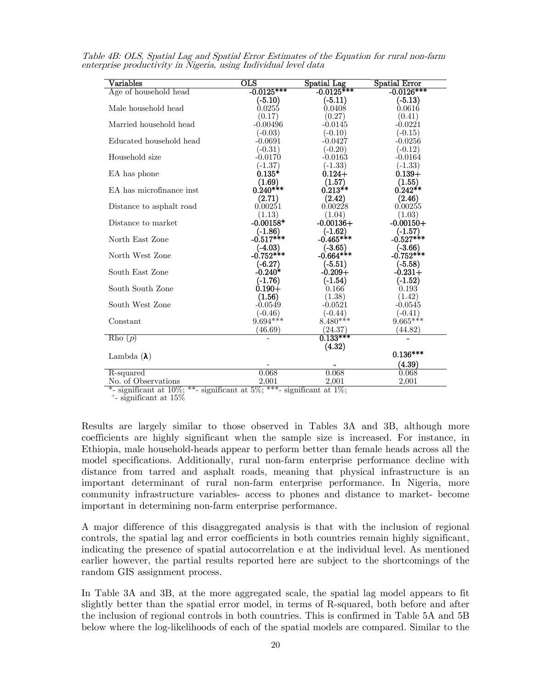| $\rm Variables$          | $_{\rm OLS}$         | Spatial Lag  | Spatial Error |
|--------------------------|----------------------|--------------|---------------|
| Age of household head    | $-0.0125***$         | $-0.0125***$ | $-0.0126***$  |
|                          | $(-5.10)$            | $(-5.11)$    | $(-5.13)$     |
| Male household head      | 0.0255               | 0.0408       | 0.0616        |
|                          | (0.17)               | (0.27)       | (0.41)        |
| Married household head   | $-0.00496$           | $-0.0145$    | $-0.0221$     |
|                          | $(-0.03)$            | $(-0.10)$    | $(-0.15)$     |
| Educated household head  | $-0.0691$            | $-0.0427$    | $-0.0256$     |
|                          | $(-0.31)$            | $(-0.20)$    | $(-0.12)$     |
| Household size           | $-0.0170$            | $-0.0163$    | $-0.0164$     |
|                          | $(-1.37)$            | $(-1.33)$    | $(-1.33)$     |
| EA has phone             | $0.135*$             | $0.124 +$    | $0.139+$      |
|                          | (1.69)               | (1.57)       | (1.55)        |
| EA has microfinance inst | $0.240***$           | $0.213**$    | $0.242**$     |
|                          | (2.71)               | (2.42)       | (2.46)        |
| Distance to asphalt road | 0.00251              | 0.00228      | 0.00255       |
|                          | (1.13)               | (1.04)       | (1.03)        |
| Distance to market       | $-0.00158*$          | $-0.00136+$  | $-0.00150+$   |
|                          | $(-1.86)$            | $(-1.62)$    | $(-1.57)$     |
| North East Zone          | $-0.517***$          | $-0.465***$  | $-0.527***$   |
|                          | $(-4.03)$            | $(-3.65)$    | $(-3.66)$     |
| North West Zone          | $-0.752***$          | $-0.664***$  | $-0.752***$   |
|                          | $(-6.27)$            | (-5.51)      | $(-5.58)$     |
| South East Zone          | $-0.240*$            | $-0.209 +$   | $-0.231+$     |
|                          | (-1.76)              | (-1.54)      | $(-1.52)$     |
| South South Zone         | $0.190 +$            | 0.166        | 0.193         |
|                          | $\left( 1.56\right)$ | (1.38)       | (1.42)        |
| South West Zone          | -0.0549              | $-0.0521$    | $-0.0545$     |
|                          | $(-0.46)$            | $(-0.44)$    | $(-0.41)$     |
| Constant                 | $9.694***$           | $8.480***$   | $9.665***$    |
|                          | (46.69)              | (24.37)      | (44.82)       |
| Rho(p)                   |                      | $0.133***$   |               |
|                          |                      | (4.32)       |               |
| Lambda $(\lambda)$       |                      |              | $0.136***$    |
|                          |                      |              | (4.39)        |
| R-squared                | 0.068                | 0.068        | 0.068         |
| No. of Observations      | 2,001                | 2,001        | 2,001         |

Table 4B: OLS, Spatial Lag and Spatial Error Estimates of the Equation for rural non-farm enterprise productivity in Nigeria, using Individual level data

\*- significant at  $10\%$ ; \*\*- significant at  $5\%$ ; \*\*\*- significant at  $1\%$ ;  $+$ - significant at  $15\%$ 

Results are largely similar to those observed in Tables 3A and 3B, although more coefficients are highly significant when the sample size is increased. For instance, in Ethiopia, male household-heads appear to perform better than female heads across all the model specifications. Additionally, rural non-farm enterprise performance decline with distance from tarred and asphalt roads, meaning that physical infrastructure is an important determinant of rural non-farm enterprise performance. In Nigeria, more community infrastructure variables- access to phones and distance to market- become important in determining non-farm enterprise performance.

A major difference of this disaggregated analysis is that with the inclusion of regional controls, the spatial lag and error coefficients in both countries remain highly significant, indicating the presence of spatial autocorrelation e at the individual level. As mentioned earlier however, the partial results reported here are subject to the shortcomings of the random GIS assignment process.

In Table 3A and 3B, at the more aggregated scale, the spatial lag model appears to fit slightly better than the spatial error model, in terms of R-squared, both before and after the inclusion of regional controls in both countries. This is confirmed in Table 5A and 5B below where the log-likelihoods of each of the spatial models are compared. Similar to the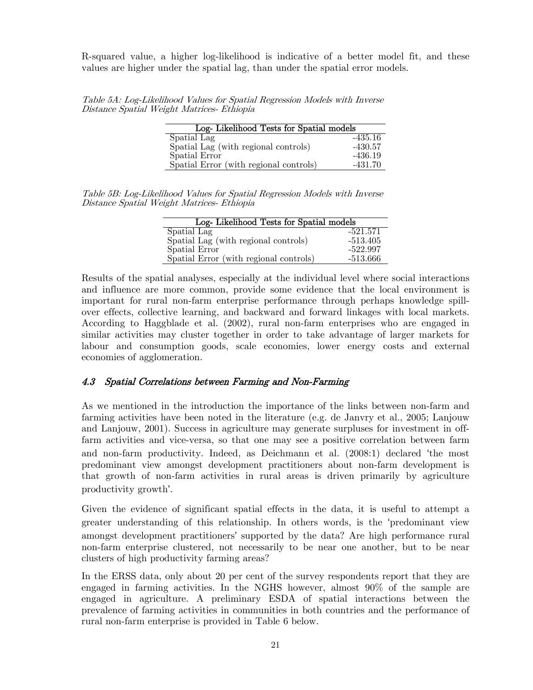R-squared value, a higher log-likelihood is indicative of a better model fit, and these values are higher under the spatial lag, than under the spatial error models.

Table 5A: Log-Likelihood Values for Spatial Regression Models with Inverse Distance Spatial Weight Matrices- Ethiopia

| Log-Likelihood Tests for Spatial models |           |  |  |  |
|-----------------------------------------|-----------|--|--|--|
| Spatial Lag                             | $-435.16$ |  |  |  |
| Spatial Lag (with regional controls)    | $-430.57$ |  |  |  |
| Spatial Error                           | $-436.19$ |  |  |  |
| Spatial Error (with regional controls)  | $-431.70$ |  |  |  |

Table 5B: Log-Likelihood Values for Spatial Regression Models with Inverse Distance Spatial Weight Matrices- Ethiopia

| Log-Likelihood Tests for Spatial models |            |  |  |  |  |
|-----------------------------------------|------------|--|--|--|--|
| Spatial Lag                             | $-521.571$ |  |  |  |  |
| Spatial Lag (with regional controls)    | $-513.405$ |  |  |  |  |
| <b>Spatial Error</b>                    | $-522.997$ |  |  |  |  |
| Spatial Error (with regional controls)  | $-513.666$ |  |  |  |  |

Results of the spatial analyses, especially at the individual level where social interactions and influence are more common, provide some evidence that the local environment is important for rural non-farm enterprise performance through perhaps knowledge spillover effects, collective learning, and backward and forward linkages with local markets. According to Haggblade et al. (2002), rural non-farm enterprises who are engaged in similar activities may cluster together in order to take advantage of larger markets for labour and consumption goods, scale economies, lower energy costs and external economies of agglomeration.

#### 4.3 Spatial Correlations between Farming and Non-Farming

As we mentioned in the introduction the importance of the links between non-farm and farming activities have been noted in the literature (e.g. de Janvry et al., 2005; Lanjouw and Lanjouw, 2001). Success in agriculture may generate surpluses for investment in offfarm activities and vice-versa, so that one may see a positive correlation between farm and non-farm productivity. Indeed, as Deichmann et al. (2008:1) declared 'the most predominant view amongst development practitioners about non-farm development is that growth of non-farm activities in rural areas is driven primarily by agriculture productivity growth'.

Given the evidence of significant spatial effects in the data, it is useful to attempt a greater understanding of this relationship. In others words, is the 'predominant view amongst development practitioners' supported by the data? Are high performance rural non-farm enterprise clustered, not necessarily to be near one another, but to be near clusters of high productivity farming areas?

In the ERSS data, only about 20 per cent of the survey respondents report that they are engaged in farming activities. In the NGHS however, almost 90% of the sample are engaged in agriculture. A preliminary ESDA of spatial interactions between the prevalence of farming activities in communities in both countries and the performance of rural non-farm enterprise is provided in Table 6 below.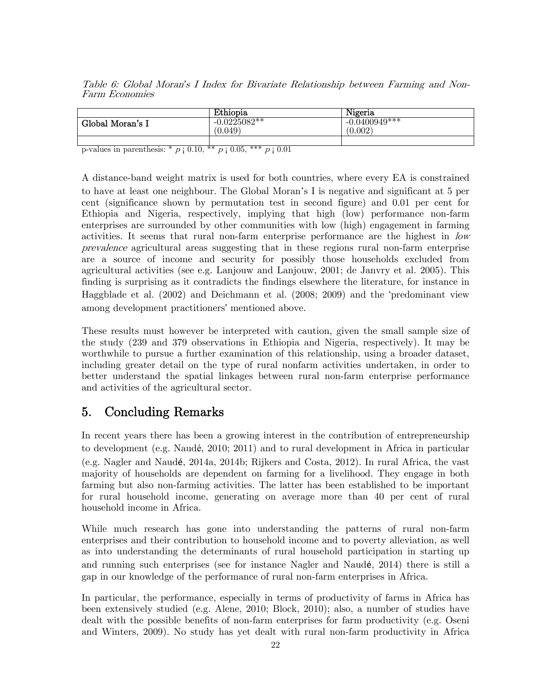Table 6: Global Moran*'*s I Index for Bivariate Relationship between Farming and Non-Farm Economies

|                  | Ethiopia                  | Nigeria                    |
|------------------|---------------------------|----------------------------|
| Global Moran's I | $-0.0225082**$<br>(0.049) | $-0.0400949***$<br>(0.002) |
|                  |                           |                            |

p-values in parenthesis: \*  $p \nvert 0.10$ , \*\*  $p \nvert 0.05$ , \*\*\*  $p \nvert 0.01$ 

A distance-band weight matrix is used for both countries, where every EA is constrained to have at least one neighbour. The Global Moran's I is negative and significant at 5 per cent (significance shown by permutation test in second figure) and 0.01 per cent for Ethiopia and Nigeria, respectively, implying that high (low) performance non-farm enterprises are surrounded by other communities with low (high) engagement in farming activities. It seems that rural non-farm enterprise performance are the highest in low prevalence agricultural areas suggesting that in these regions rural non-farm enterprise are a source of income and security for possibly those households excluded from agricultural activities (see e.g. Lanjouw and Lanjouw, 2001; de Janvry et al. 2005). This finding is surprising as it contradicts the findings elsewhere the literature, for instance in Haggblade et al. (2002) and Deichmann et al. (2008; 2009) and the 'predominant view among development practitioners' mentioned above.

These results must however be interpreted with caution, given the small sample size of the study (239 and 379 observations in Ethiopia and Nigeria, respectively). It may be worthwhile to pursue a further examination of this relationship, using a broader dataset, including greater detail on the type of rural nonfarm activities undertaken, in order to better understand the spatial linkages between rural non-farm enterprise performance and activities of the agricultural sector.

### 5. Concluding Remarks

In recent years there has been a growing interest in the contribution of entrepreneurship to development (e.g. Naudé, 2010; 2011) and to rural development in Africa in particular (e.g. Nagler and Naudé, 2014a, 2014b; Rijkers and Costa, 2012). In rural Africa, the vast majority of households are dependent on farming for a livelihood. They engage in both farming but also non-farming activities. The latter has been established to be important for rural household income, generating on average more than 40 per cent of rural household income in Africa.

While much research has gone into understanding the patterns of rural non-farm enterprises and their contribution to household income and to poverty alleviation, as well as into understanding the determinants of rural household participation in starting up and running such enterprises (see for instance Nagler and Naudé, 2014) there is still a gap in our knowledge of the performance of rural non-farm enterprises in Africa.

In particular, the performance, especially in terms of productivity of farms in Africa has been extensively studied (e.g. Alene, 2010; Block, 2010); also, a number of studies have dealt with the possible benefits of non-farm enterprises for farm productivity (e.g. Oseni and Winters, 2009). No study has yet dealt with rural non-farm productivity in Africa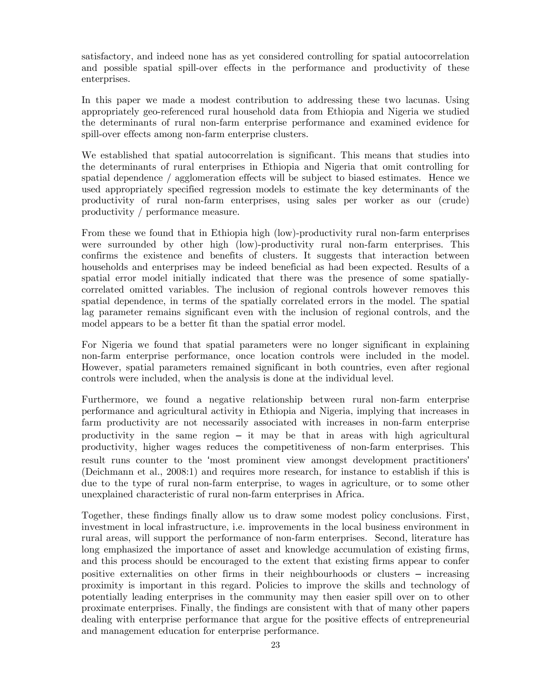satisfactory, and indeed none has as yet considered controlling for spatial autocorrelation and possible spatial spill-over effects in the performance and productivity of these enterprises.

In this paper we made a modest contribution to addressing these two lacunas. Using appropriately geo-referenced rural household data from Ethiopia and Nigeria we studied the determinants of rural non-farm enterprise performance and examined evidence for spill-over effects among non-farm enterprise clusters.

We established that spatial autocorrelation is significant. This means that studies into the determinants of rural enterprises in Ethiopia and Nigeria that omit controlling for spatial dependence / agglomeration effects will be subject to biased estimates. Hence we used appropriately specified regression models to estimate the key determinants of the productivity of rural non-farm enterprises, using sales per worker as our (crude) productivity / performance measure.

From these we found that in Ethiopia high (low)-productivity rural non-farm enterprises were surrounded by other high (low)-productivity rural non-farm enterprises. This confirms the existence and benefits of clusters. It suggests that interaction between households and enterprises may be indeed beneficial as had been expected. Results of a spatial error model initially indicated that there was the presence of some spatiallycorrelated omitted variables. The inclusion of regional controls however removes this spatial dependence, in terms of the spatially correlated errors in the model. The spatial lag parameter remains significant even with the inclusion of regional controls, and the model appears to be a better fit than the spatial error model.

For Nigeria we found that spatial parameters were no longer significant in explaining non-farm enterprise performance, once location controls were included in the model. However, spatial parameters remained significant in both countries, even after regional controls were included, when the analysis is done at the individual level.

Furthermore, we found a negative relationship between rural non-farm enterprise performance and agricultural activity in Ethiopia and Nigeria, implying that increases in farm productivity are not necessarily associated with increases in non-farm enterprise productivity in the same region – it may be that in areas with high agricultural productivity, higher wages reduces the competitiveness of non-farm enterprises. This result runs counter to the 'most prominent view amongst development practitioners' (Deichmann et al., 2008:1) and requires more research, for instance to establish if this is due to the type of rural non-farm enterprise, to wages in agriculture, or to some other unexplained characteristic of rural non-farm enterprises in Africa.

Together, these findings finally allow us to draw some modest policy conclusions. First, investment in local infrastructure, i.e. improvements in the local business environment in rural areas, will support the performance of non-farm enterprises. Second, literature has long emphasized the importance of asset and knowledge accumulation of existing firms, and this process should be encouraged to the extent that existing firms appear to confer positive externalities on other firms in their neighbourhoods or clusters – increasing proximity is important in this regard. Policies to improve the skills and technology of potentially leading enterprises in the community may then easier spill over on to other proximate enterprises. Finally, the findings are consistent with that of many other papers dealing with enterprise performance that argue for the positive effects of entrepreneurial and management education for enterprise performance.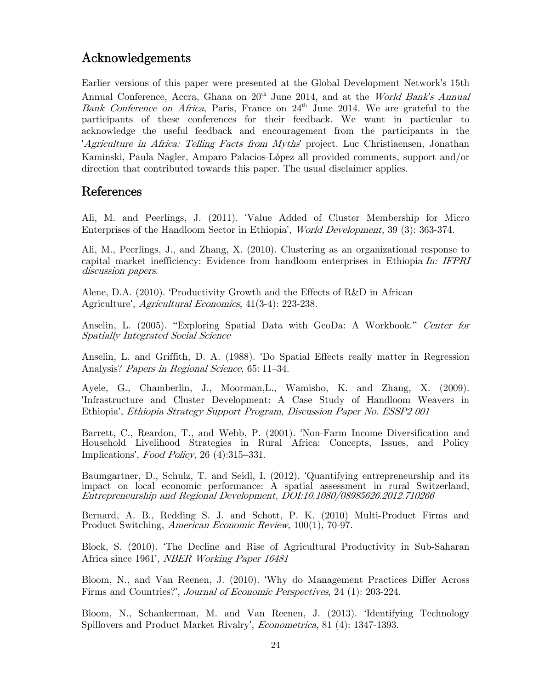### Acknowledgements

Earlier versions of this paper were presented at the Global Development Network's 15th Annual Conference, Accra, Ghana on 20<sup>th</sup> June 2014, and at the World Bank's Annual Bank Conference on Africa, Paris, France on  $24<sup>th</sup>$  June 2014. We are grateful to the participants of these conferences for their feedback. We want in particular to acknowledge the useful feedback and encouragement from the participants in the 'Agriculture in Africa: Telling Facts from Myths' project. Luc Christiaensen, Jonathan Kaminski, Paula Nagler, Amparo Palacios-López all provided comments, support and/or direction that contributed towards this paper. The usual disclaimer applies.

### References

Ali, M. and Peerlings, J. (2011). 'Value Added of Cluster Membership for Micro Enterprises of the Handloom Sector in Ethiopia', World Development, 39 (3): 363-374.

Ali, M., Peerlings, J., and Zhang, X. (2010). Clustering as an organizational response to capital market inefficiency: Evidence from handloom enterprises in Ethiopia In: IFPRI discussion papers.

Alene, D.A. (2010). 'Productivity Growth and the Effects of R&D in African Agriculture', Agricultural Economics, 41(3-4): 223-238.

Anselin, L. (2005). "Exploring Spatial Data with GeoDa: A Workbook." Center for Spatially Integrated Social Science

Anselin, L. and Griffith, D. A. (1988). 'Do Spatial Effects really matter in Regression Analysis? Papers in Regional Science, 65: 11–34.

Ayele, G., Chamberlin, J., Moorman,L., Wamisho, K. and Zhang, X. (2009). 'Infrastructure and Cluster Development: A Case Study of Handloom Weavers in Ethiopia', Ethiopia Strategy Support Program, Discussion Paper No. ESSP2 001

Barrett, C., Reardon, T., and Webb, P. (2001). 'Non-Farm Income Diversification and Household Livelihood Strategies in Rural Africa: Concepts, Issues, and Policy Implications', Food Policy, 26 (4):315–331.

Baumgartner, D., Schulz, T. and Seidl, I. (2012). 'Quantifying entrepreneurship and its impact on local economic performance: A spatial assessment in rural Switzerland, Entrepreneurship and Regional Development, DOI:10.1080/08985626.2012.710266

Bernard, A. B., Redding S. J. and Schott, P. K. (2010) Multi-Product Firms and Product Switching, *American Economic Review*, 100(1), 70-97.

Block, S. (2010). 'The Decline and Rise of Agricultural Productivity in Sub-Saharan Africa since 1961', NBER Working Paper 16481

Bloom, N., and Van Reenen, J. (2010). 'Why do Management Practices Differ Across Firms and Countries?', Journal of Economic Perspectives, 24 (1): 203-224.

Bloom, N., Schankerman, M. and Van Reenen, J. (2013). 'Identifying Technology Spillovers and Product Market Rivalry', Econometrica, 81 (4): 1347-1393.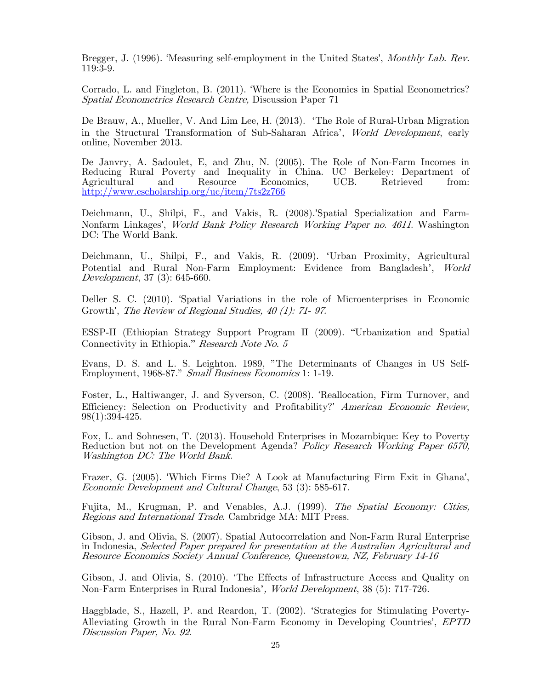Bregger, J. (1996). 'Measuring self-employment in the United States', *Monthly Lab. Rev.* 119:3-9.

Corrado, L. and Fingleton, B. (2011). 'Where is the Economics in Spatial Econometrics? Spatial Econometrics Research Centre, Discussion Paper 71

De Brauw, A., Mueller, V. And Lim Lee, H. (2013). 'The Role of Rural-Urban Migration in the Structural Transformation of Sub-Saharan Africa', World Development, early online, November 2013.

De Janvry, A. Sadoulet, E, and Zhu, N. (2005). The Role of Non-Farm Incomes in Reducing Rural Poverty and Inequality in China. UC Berkeley: Department of Agricultural and Resource Economics, UCB. Retrieved from: Agricultural and Resource Economics, UCB. Retrieved from: http://www.escholarship.org/uc/item/7ts2z766

Deichmann, U., Shilpi, F., and Vakis, R. (2008).'Spatial Specialization and Farm-Nonfarm Linkages', World Bank Policy Research Working Paper no. 4611. Washington DC: The World Bank.

Deichmann, U., Shilpi, F., and Vakis, R. (2009). 'Urban Proximity, Agricultural Potential and Rural Non-Farm Employment: Evidence from Bangladesh', World Development, 37 (3): 645-660.

Deller S. C. (2010). 'Spatial Variations in the role of Microenterprises in Economic Growth', The Review of Regional Studies, 40 (1): 71- 97.

ESSP-II (Ethiopian Strategy Support Program II (2009). "Urbanization and Spatial Connectivity in Ethiopia." Research Note No. 5

Evans, D. S. and L. S. Leighton. 1989, "The Determinants of Changes in US Self-Employment, 1968-87." Small Business Economics 1: 1-19.

Foster, L., Haltiwanger, J. and Syverson, C. (2008). 'Reallocation, Firm Turnover, and Efficiency: Selection on Productivity and Profitability?' American Economic Review,  $98(1):394-425$ .

Fox, L. and Sohnesen, T. (2013). Household Enterprises in Mozambique: Key to Poverty Reduction but not on the Development Agenda? Policy Research Working Paper 6570, Washington DC: The World Bank.

Frazer, G. (2005). 'Which Firms Die? A Look at Manufacturing Firm Exit in Ghana', Economic Development and Cultural Change, 53 (3): 585-617.

Fujita, M., Krugman, P. and Venables, A.J. (1999). The Spatial Economy: Cities, Regions and International Trade. Cambridge MA: MIT Press.

Gibson, J. and Olivia, S. (2007). Spatial Autocorrelation and Non-Farm Rural Enterprise in Indonesia, Selected Paper prepared for presentation at the Australian Agricultural and Resource Economics Society Annual Conference, Queenstown, NZ, February 14-16

Gibson, J. and Olivia, S. (2010). 'The Effects of Infrastructure Access and Quality on Non-Farm Enterprises in Rural Indonesia', World Development, 38 (5): 717-726.

Haggblade, S., Hazell, P. and Reardon, T. (2002). 'Strategies for Stimulating Poverty-Alleviating Growth in the Rural Non-Farm Economy in Developing Countries', EPTD Discussion Paper, No. 92.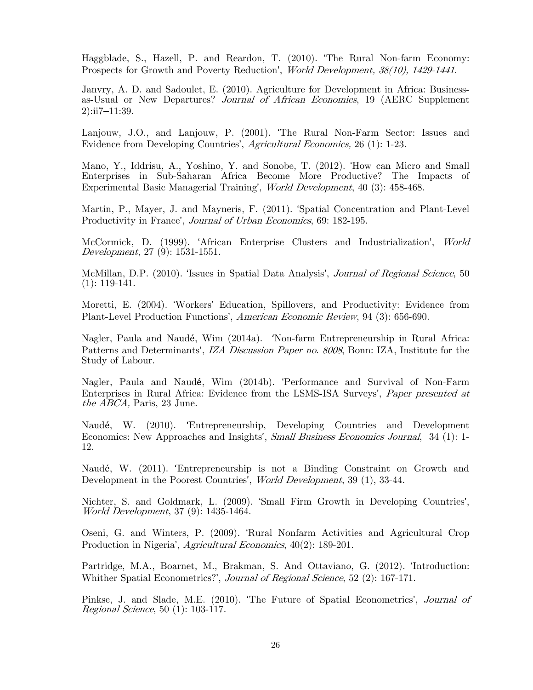Haggblade, S., Hazell, P. and Reardon, T. (2010). 'The Rural Non-farm Economy: Prospects for Growth and Poverty Reduction', World Development, 38(10), 1429-1441.

Janvry, A. D. and Sadoulet, E. (2010). Agriculture for Development in Africa: Businessas-Usual or New Departures? Journal of African Economies, 19 (AERC Supplement 2):ii7–11:39.

Lanjouw, J.O., and Lanjouw, P. (2001). 'The Rural Non-Farm Sector: Issues and Evidence from Developing Countries', Agricultural Economics, 26 (1): 1-23.

Mano, Y., Iddrisu, A., Yoshino, Y. and Sonobe, T. (2012). 'How can Micro and Small Enterprises in Sub-Saharan Africa Become More Productive? The Impacts of Experimental Basic Managerial Training', World Development, 40 (3): 458-468.

Martin, P., Mayer, J. and Mayneris, F. (2011). 'Spatial Concentration and Plant-Level Productivity in France', Journal of Urban Economics, 69: 182-195.

McCormick, D. (1999). 'African Enterprise Clusters and Industrialization', World Development, 27 (9): 1531-1551.

McMillan, D.P. (2010). 'Issues in Spatial Data Analysis', *Journal of Regional Science*, 50 (1): 119-141.

Moretti, E. (2004). 'Workers' Education, Spillovers, and Productivity: Evidence from Plant-Level Production Functions', American Economic Review, 94 (3): 656-690.

Nagler, Paula and Naudé, Wim (2014a). 'Non-farm Entrepreneurship in Rural Africa: Patterns and Determinants', IZA Discussion Paper no. 8008, Bonn: IZA, Institute for the Study of Labour.

Nagler, Paula and Naudé, Wim (2014b). 'Performance and Survival of Non-Farm Enterprises in Rural Africa: Evidence from the LSMS-ISA Surveys', Paper presented at the ABCA, Paris, 23 June.

Naudé, W. (2010). 'Entrepreneurship, Developing Countries and Development Economics: New Approaches and Insights', Small Business Economics Journal, 34 (1): 1-12.

Naudé, W. (2011). 'Entrepreneurship is not a Binding Constraint on Growth and Development in the Poorest Countries', *World Development*, 39 (1), 33-44.

Nichter, S. and Goldmark, L. (2009). 'Small Firm Growth in Developing Countries', World Development, 37 (9): 1435-1464.

Oseni, G. and Winters, P. (2009). 'Rural Nonfarm Activities and Agricultural Crop Production in Nigeria', Agricultural Economics, 40(2): 189-201.

Partridge, M.A., Boarnet, M., Brakman, S. And Ottaviano, G. (2012). 'Introduction: Whither Spatial Econometrics?', Journal of Regional Science, 52 (2): 167-171.

Pinkse, J. and Slade, M.E. (2010). 'The Future of Spatial Econometrics', Journal of Regional Science, 50 (1): 103-117.